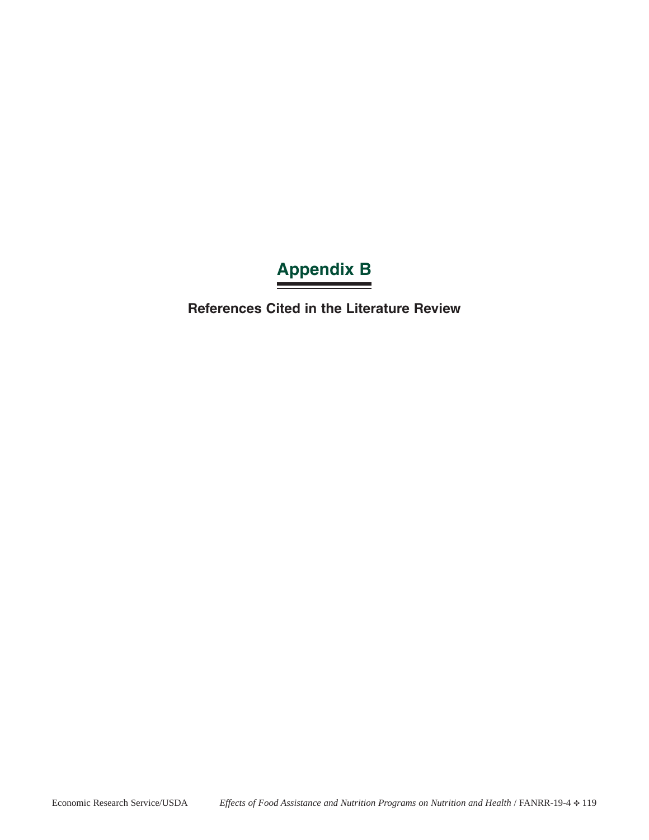## **Appendix B**

**References Cited in the Literature Review**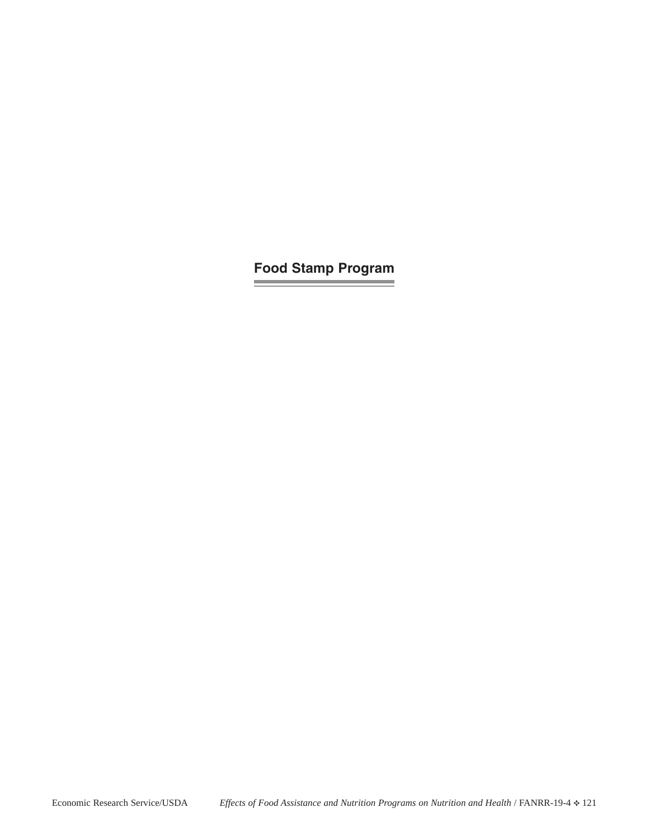**Food Stamp Program**

and the control of the con-

**Contract Contract Contract Contract**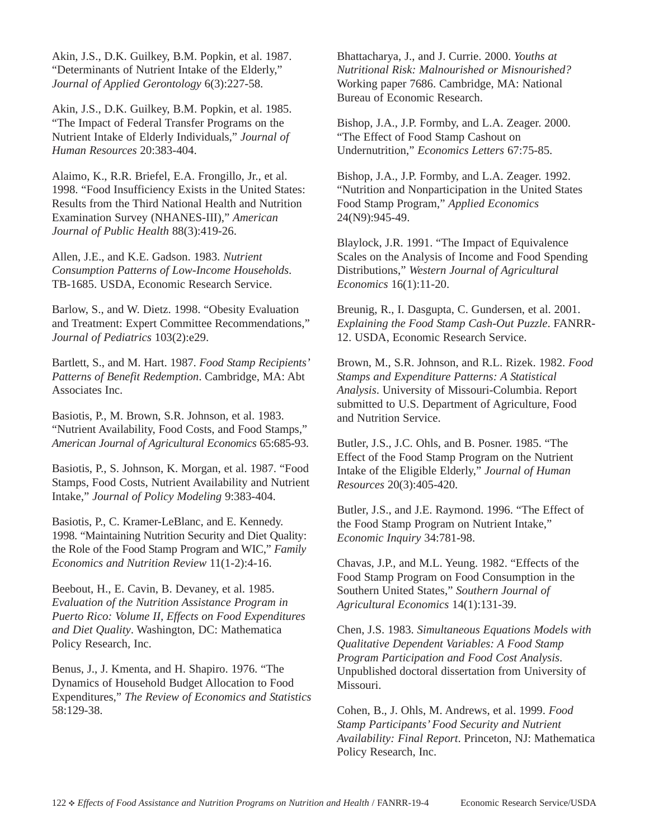Akin, J.S., D.K. Guilkey, B.M. Popkin, et al. 1987. "Determinants of Nutrient Intake of the Elderly," *Journal of Applied Gerontology* 6(3):227-58.

Akin, J.S., D.K. Guilkey, B.M. Popkin, et al. 1985. "The Impact of Federal Transfer Programs on the Nutrient Intake of Elderly Individuals," *Journal of Human Resources* 20:383-404.

Alaimo, K., R.R. Briefel, E.A. Frongillo, Jr., et al. 1998. "Food Insufficiency Exists in the United States: Results from the Third National Health and Nutrition Examination Survey (NHANES-III)," *American Journal of Public Health* 88(3):419-26.

Allen, J.E., and K.E. Gadson. 1983. *Nutrient Consumption Patterns of Low-Income Households*. TB-1685. USDA, Economic Research Service.

Barlow, S., and W. Dietz. 1998. "Obesity Evaluation and Treatment: Expert Committee Recommendations," *Journal of Pediatrics* 103(2):e29.

Bartlett, S., and M. Hart. 1987. *Food Stamp Recipients' Patterns of Benefit Redemption*. Cambridge, MA: Abt Associates Inc.

Basiotis, P., M. Brown, S.R. Johnson, et al. 1983. "Nutrient Availability, Food Costs, and Food Stamps," *American Journal of Agricultural Economics* 65:685-93.

Basiotis, P., S. Johnson, K. Morgan, et al. 1987. "Food Stamps, Food Costs, Nutrient Availability and Nutrient Intake," *Journal of Policy Modeling* 9:383-404.

Basiotis, P., C. Kramer-LeBlanc, and E. Kennedy. 1998. "Maintaining Nutrition Security and Diet Quality: the Role of the Food Stamp Program and WIC," *Family Economics and Nutrition Review* 11(1-2):4-16.

Beebout, H., E. Cavin, B. Devaney, et al. 1985. *Evaluation of the Nutrition Assistance Program in Puerto Rico: Volume II, Effects on Food Expenditures and Diet Quality*. Washington, DC: Mathematica Policy Research, Inc.

Benus, J., J. Kmenta, and H. Shapiro. 1976. "The Dynamics of Household Budget Allocation to Food Expenditures," *The Review of Economics and Statistics* 58:129-38.

Bhattacharya, J., and J. Currie. 2000. *Youths at Nutritional Risk: Malnourished or Misnourished?* Working paper 7686. Cambridge, MA: National Bureau of Economic Research.

Bishop, J.A., J.P. Formby, and L.A. Zeager. 2000. "The Effect of Food Stamp Cashout on Undernutrition," *Economics Letters* 67:75-85.

Bishop, J.A., J.P. Formby, and L.A. Zeager. 1992. "Nutrition and Nonparticipation in the United States Food Stamp Program," *Applied Economics* 24(N9):945-49.

Blaylock, J.R. 1991. "The Impact of Equivalence Scales on the Analysis of Income and Food Spending Distributions," *Western Journal of Agricultural Economics* 16(1):11-20.

Breunig, R., I. Dasgupta, C. Gundersen, et al. 2001. *Explaining the Food Stamp Cash-Out Puzzle*. FANRR-12. USDA, Economic Research Service.

Brown, M., S.R. Johnson, and R.L. Rizek. 1982. *Food Stamps and Expenditure Patterns: A Statistical Analysis*. University of Missouri-Columbia. Report submitted to U.S. Department of Agriculture, Food and Nutrition Service.

Butler, J.S., J.C. Ohls, and B. Posner. 1985. "The Effect of the Food Stamp Program on the Nutrient Intake of the Eligible Elderly," *Journal of Human Resources* 20(3):405-420.

Butler, J.S., and J.E. Raymond. 1996. "The Effect of the Food Stamp Program on Nutrient Intake," *Economic Inquiry* 34:781-98.

Chavas, J.P., and M.L. Yeung. 1982. "Effects of the Food Stamp Program on Food Consumption in the Southern United States," *Southern Journal of Agricultural Economics* 14(1):131-39.

Chen, J.S. 1983. *Simultaneous Equations Models with Qualitative Dependent Variables: A Food Stamp Program Participation and Food Cost Analysis*. Unpublished doctoral dissertation from University of Missouri.

Cohen, B., J. Ohls, M. Andrews, et al. 1999. *Food Stamp Participants' Food Security and Nutrient Availability: Final Report*. Princeton, NJ: Mathematica Policy Research, Inc.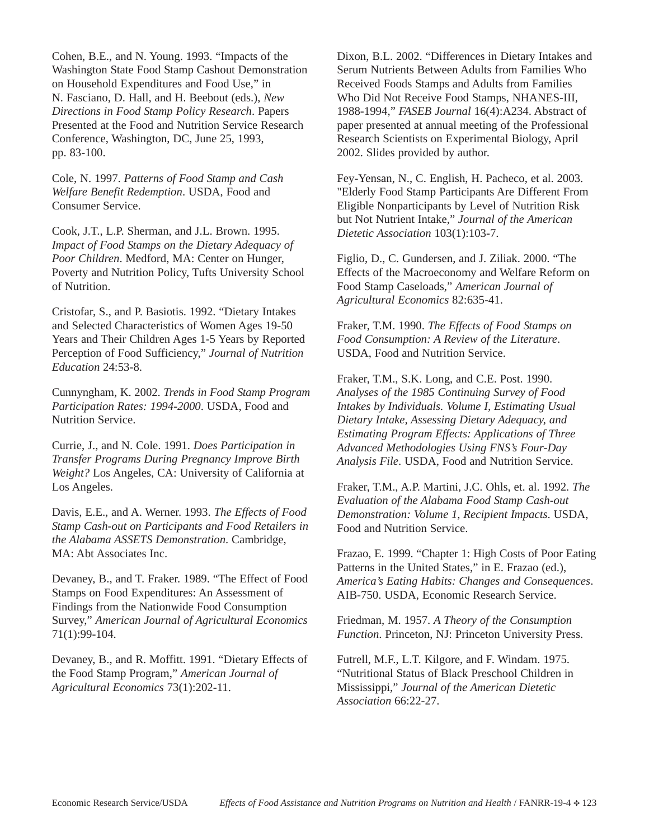Cohen, B.E., and N. Young. 1993. "Impacts of the Washington State Food Stamp Cashout Demonstration on Household Expenditures and Food Use," in N. Fasciano, D. Hall, and H. Beebout (eds.), *New Directions in Food Stamp Policy Research*. Papers Presented at the Food and Nutrition Service Research Conference, Washington, DC, June 25, 1993, pp. 83-100.

Cole, N. 1997. *Patterns of Food Stamp and Cash Welfare Benefit Redemption*. USDA, Food and Consumer Service.

Cook, J.T., L.P. Sherman, and J.L. Brown. 1995. *Impact of Food Stamps on the Dietary Adequacy of Poor Children*. Medford, MA: Center on Hunger, Poverty and Nutrition Policy, Tufts University School of Nutrition.

Cristofar, S., and P. Basiotis. 1992. "Dietary Intakes and Selected Characteristics of Women Ages 19-50 Years and Their Children Ages 1-5 Years by Reported Perception of Food Sufficiency," *Journal of Nutrition Education* 24:53-8.

Cunnyngham, K. 2002. *Trends in Food Stamp Program Participation Rates: 1994-2000*. USDA, Food and Nutrition Service.

Currie, J., and N. Cole. 1991. *Does Participation in Transfer Programs During Pregnancy Improve Birth Weight?* Los Angeles, CA: University of California at Los Angeles.

Davis, E.E., and A. Werner. 1993. *The Effects of Food Stamp Cash-out on Participants and Food Retailers in the Alabama ASSETS Demonstration*. Cambridge, MA: Abt Associates Inc.

Devaney, B., and T. Fraker. 1989. "The Effect of Food Stamps on Food Expenditures: An Assessment of Findings from the Nationwide Food Consumption Survey," *American Journal of Agricultural Economics* 71(1):99-104.

Devaney, B., and R. Moffitt. 1991. "Dietary Effects of the Food Stamp Program," *American Journal of Agricultural Economics* 73(1):202-11.

Dixon, B.L. 2002. "Differences in Dietary Intakes and Serum Nutrients Between Adults from Families Who Received Foods Stamps and Adults from Families Who Did Not Receive Food Stamps, NHANES-III, 1988-1994," *FASEB Journal* 16(4):A234. Abstract of paper presented at annual meeting of the Professional Research Scientists on Experimental Biology, April 2002. Slides provided by author.

Fey-Yensan, N., C. English, H. Pacheco, et al. 2003. "Elderly Food Stamp Participants Are Different From Eligible Nonparticipants by Level of Nutrition Risk but Not Nutrient Intake," *Journal of the American Dietetic Association* 103(1):103-7.

Figlio, D., C. Gundersen, and J. Ziliak. 2000. "The Effects of the Macroeconomy and Welfare Reform on Food Stamp Caseloads," *American Journal of Agricultural Economics* 82:635-41.

Fraker, T.M. 1990. *The Effects of Food Stamps on Food Consumption: A Review of the Literature*. USDA, Food and Nutrition Service.

Fraker, T.M., S.K. Long, and C.E. Post. 1990. *Analyses of the 1985 Continuing Survey of Food Intakes by Individuals. Volume I, Estimating Usual Dietary Intake, Assessing Dietary Adequacy, and Estimating Program Effects: Applications of Three Advanced Methodologies Using FNS's Four-Day Analysis File*. USDA, Food and Nutrition Service.

Fraker, T.M., A.P. Martini, J.C. Ohls, et. al. 1992. *The Evaluation of the Alabama Food Stamp Cash-out Demonstration: Volume 1, Recipient Impacts*. USDA, Food and Nutrition Service.

Frazao, E. 1999. "Chapter 1: High Costs of Poor Eating Patterns in the United States," in E. Frazao (ed.), *America's Eating Habits: Changes and Consequences*. AIB-750. USDA, Economic Research Service.

Friedman, M. 1957. *A Theory of the Consumption Function*. Princeton, NJ: Princeton University Press.

Futrell, M.F., L.T. Kilgore, and F. Windam. 1975. "Nutritional Status of Black Preschool Children in Mississippi," *Journal of the American Dietetic Association* 66:22-27.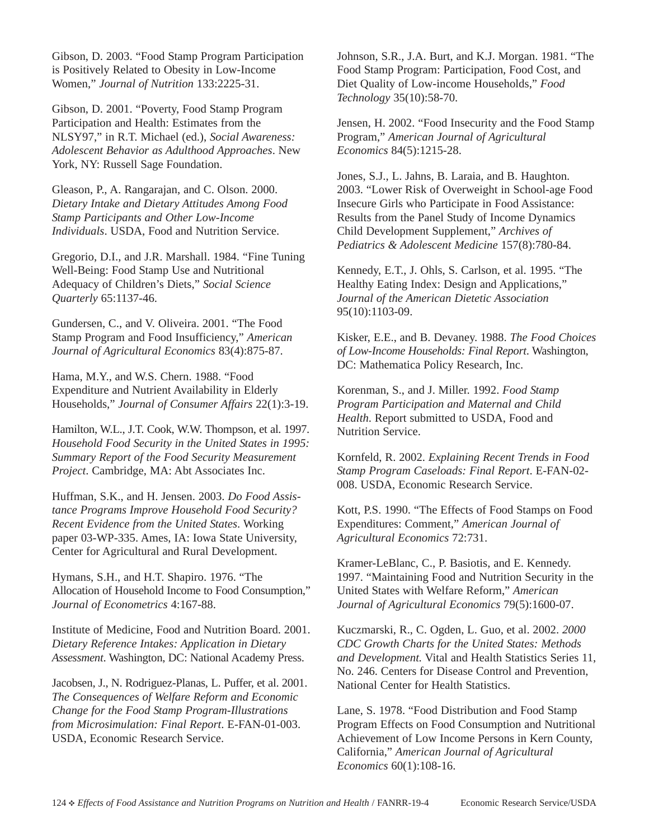Gibson, D. 2003. "Food Stamp Program Participation is Positively Related to Obesity in Low-Income Women," *Journal of Nutrition* 133:2225-31.

Gibson, D. 2001. "Poverty, Food Stamp Program Participation and Health: Estimates from the NLSY97," in R.T. Michael (ed.), *Social Awareness: Adolescent Behavior as Adulthood Approaches*. New York, NY: Russell Sage Foundation.

Gleason, P., A. Rangarajan, and C. Olson. 2000. *Dietary Intake and Dietary Attitudes Among Food Stamp Participants and Other Low-Income Individuals*. USDA, Food and Nutrition Service.

Gregorio, D.I., and J.R. Marshall. 1984. "Fine Tuning Well-Being: Food Stamp Use and Nutritional Adequacy of Children's Diets," *Social Science Quarterly* 65:1137-46.

Gundersen, C., and V. Oliveira. 2001. "The Food Stamp Program and Food Insufficiency," *American Journal of Agricultural Economics* 83(4):875-87.

Hama, M.Y., and W.S. Chern. 1988. "Food Expenditure and Nutrient Availability in Elderly Households," *Journal of Consumer Affairs* 22(1):3-19.

Hamilton, W.L., J.T. Cook, W.W. Thompson, et al. 1997. *Household Food Security in the United States in 1995: Summary Report of the Food Security Measurement Project*. Cambridge, MA: Abt Associates Inc.

Huffman, S.K., and H. Jensen. 2003. *Do Food Assistance Programs Improve Household Food Security? Recent Evidence from the United States*. Working paper 03-WP-335. Ames, IA: Iowa State University, Center for Agricultural and Rural Development.

Hymans, S.H., and H.T. Shapiro. 1976. "The Allocation of Household Income to Food Consumption," *Journal of Econometrics* 4:167-88.

Institute of Medicine, Food and Nutrition Board. 2001. *Dietary Reference Intakes: Application in Dietary Assessment*. Washington, DC: National Academy Press.

Jacobsen, J., N. Rodriguez-Planas, L. Puffer, et al. 2001. *The Consequences of Welfare Reform and Economic Change for the Food Stamp Program-Illustrations from Microsimulation: Final Report*. E-FAN-01-003. USDA, Economic Research Service.

Johnson, S.R., J.A. Burt, and K.J. Morgan. 1981. "The Food Stamp Program: Participation, Food Cost, and Diet Quality of Low-income Households," *Food Technology* 35(10):58-70.

Jensen, H. 2002. "Food Insecurity and the Food Stamp Program," *American Journal of Agricultural Economics* 84(5):1215-28.

Jones, S.J., L. Jahns, B. Laraia, and B. Haughton. 2003. "Lower Risk of Overweight in School-age Food Insecure Girls who Participate in Food Assistance: Results from the Panel Study of Income Dynamics Child Development Supplement," *Archives of Pediatrics & Adolescent Medicine* 157(8):780-84.

Kennedy, E.T., J. Ohls, S. Carlson, et al. 1995. "The Healthy Eating Index: Design and Applications," *Journal of the American Dietetic Association* 95(10):1103-09.

Kisker, E.E., and B. Devaney. 1988. *The Food Choices of Low-Income Households: Final Report*. Washington, DC: Mathematica Policy Research, Inc.

Korenman, S., and J. Miller. 1992. *Food Stamp Program Participation and Maternal and Child Health*. Report submitted to USDA, Food and Nutrition Service.

Kornfeld, R. 2002. *Explaining Recent Trends in Food Stamp Program Caseloads: Final Report*. E-FAN-02- 008. USDA, Economic Research Service.

Kott, P.S. 1990. "The Effects of Food Stamps on Food Expenditures: Comment," *American Journal of Agricultural Economics* 72:731.

Kramer-LeBlanc, C., P. Basiotis, and E. Kennedy. 1997. "Maintaining Food and Nutrition Security in the United States with Welfare Reform," *American Journal of Agricultural Economics* 79(5):1600-07.

Kuczmarski, R., C. Ogden, L. Guo, et al. 2002. *2000 CDC Growth Charts for the United States: Methods and Development.* Vital and Health Statistics Series 11, No. 246. Centers for Disease Control and Prevention, National Center for Health Statistics.

Lane, S. 1978. "Food Distribution and Food Stamp Program Effects on Food Consumption and Nutritional Achievement of Low Income Persons in Kern County, California," *American Journal of Agricultural Economics* 60(1):108-16.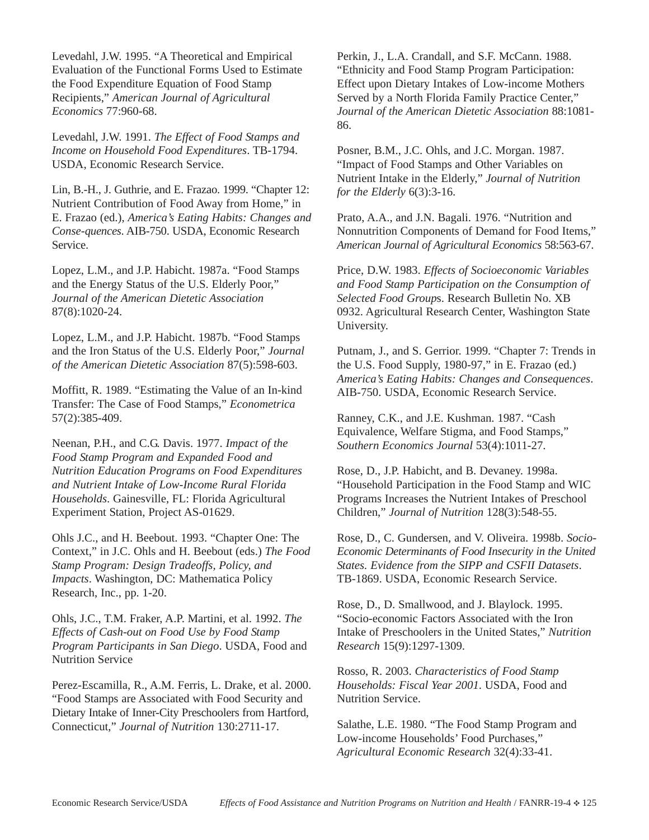Levedahl, J.W. 1995. "A Theoretical and Empirical Evaluation of the Functional Forms Used to Estimate the Food Expenditure Equation of Food Stamp Recipients," *American Journal of Agricultural Economics* 77:960-68.

Levedahl, J.W. 1991. *The Effect of Food Stamps and Income on Household Food Expenditures*. TB-1794. USDA, Economic Research Service.

Lin, B.-H., J. Guthrie, and E. Frazao. 1999. "Chapter 12: Nutrient Contribution of Food Away from Home," in E. Frazao (ed.), *America's Eating Habits: Changes and Conse-quences*. AIB-750. USDA, Economic Research Service.

Lopez, L.M., and J.P. Habicht. 1987a. "Food Stamps and the Energy Status of the U.S. Elderly Poor," *Journal of the American Dietetic Association* 87(8):1020-24.

Lopez, L.M., and J.P. Habicht. 1987b. "Food Stamps and the Iron Status of the U.S. Elderly Poor," *Journal of the American Dietetic Association* 87(5):598-603.

Moffitt, R. 1989. "Estimating the Value of an In-kind Transfer: The Case of Food Stamps," *Econometrica* 57(2):385-409.

Neenan, P.H., and C.G. Davis. 1977. *Impact of the Food Stamp Program and Expanded Food and Nutrition Education Programs on Food Expenditures and Nutrient Intake of Low-Income Rural Florida Households*. Gainesville, FL: Florida Agricultural Experiment Station, Project AS-01629.

Ohls J.C., and H. Beebout. 1993. "Chapter One: The Context," in J.C. Ohls and H. Beebout (eds.) *The Food Stamp Program: Design Tradeoffs, Policy, and Impacts*. Washington, DC: Mathematica Policy Research, Inc., pp. 1-20.

Ohls, J.C., T.M. Fraker, A.P. Martini, et al. 1992. *The Effects of Cash-out on Food Use by Food Stamp Program Participants in San Diego*. USDA, Food and Nutrition Service

Perez-Escamilla, R., A.M. Ferris, L. Drake, et al. 2000. "Food Stamps are Associated with Food Security and Dietary Intake of Inner-City Preschoolers from Hartford, Connecticut," *Journal of Nutrition* 130:2711-17.

Perkin, J., L.A. Crandall, and S.F. McCann. 1988. "Ethnicity and Food Stamp Program Participation: Effect upon Dietary Intakes of Low-income Mothers Served by a North Florida Family Practice Center," *Journal of the American Dietetic Association* 88:1081- 86.

Posner, B.M., J.C. Ohls, and J.C. Morgan. 1987. "Impact of Food Stamps and Other Variables on Nutrient Intake in the Elderly," *Journal of Nutrition for the Elderly* 6(3):3-16.

Prato, A.A., and J.N. Bagali. 1976. "Nutrition and Nonnutrition Components of Demand for Food Items," *American Journal of Agricultural Economics* 58:563-67.

Price, D.W. 1983. *Effects of Socioeconomic Variables and Food Stamp Participation on the Consumption of Selected Food Group*s. Research Bulletin No. XB 0932. Agricultural Research Center, Washington State University.

Putnam, J., and S. Gerrior. 1999. "Chapter 7: Trends in the U.S. Food Supply, 1980-97," in E. Frazao (ed.) *America's Eating Habits: Changes and Consequences*. AIB-750. USDA, Economic Research Service.

Ranney, C.K., and J.E. Kushman. 1987. "Cash Equivalence, Welfare Stigma, and Food Stamps," *Southern Economics Journal* 53(4):1011-27.

Rose, D., J.P. Habicht, and B. Devaney. 1998a. "Household Participation in the Food Stamp and WIC Programs Increases the Nutrient Intakes of Preschool Children," *Journal of Nutrition* 128(3):548-55.

Rose, D., C. Gundersen, and V. Oliveira. 1998b. *Socio-Economic Determinants of Food Insecurity in the United States. Evidence from the SIPP and CSFII Datasets*. TB-1869. USDA, Economic Research Service.

Rose, D., D. Smallwood, and J. Blaylock. 1995. "Socio-economic Factors Associated with the Iron Intake of Preschoolers in the United States," *Nutrition Research* 15(9):1297-1309.

Rosso, R. 2003. *Characteristics of Food Stamp Households: Fiscal Year 2001*. USDA, Food and Nutrition Service.

Salathe, L.E. 1980. "The Food Stamp Program and Low-income Households' Food Purchases," *Agricultural Economic Research* 32(4):33-41.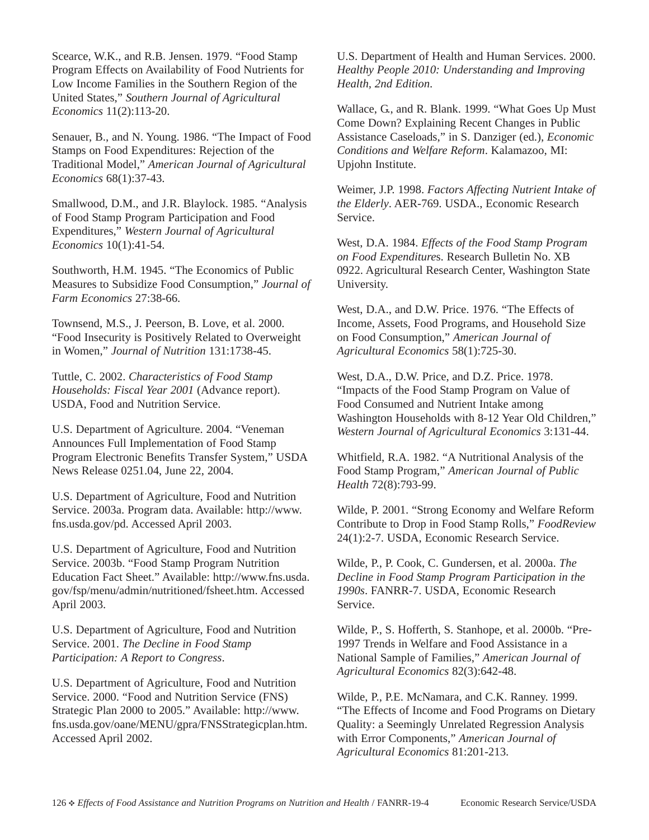Scearce, W.K., and R.B. Jensen. 1979. "Food Stamp Program Effects on Availability of Food Nutrients for Low Income Families in the Southern Region of the United States," *Southern Journal of Agricultural Economics* 11(2):113-20.

Senauer, B., and N. Young. 1986. "The Impact of Food Stamps on Food Expenditures: Rejection of the Traditional Model," *American Journal of Agricultural Economics* 68(1):37-43.

Smallwood, D.M., and J.R. Blaylock. 1985. "Analysis of Food Stamp Program Participation and Food Expenditures," *Western Journal of Agricultural Economics* 10(1):41-54.

Southworth, H.M. 1945. "The Economics of Public Measures to Subsidize Food Consumption," *Journal of Farm Economics* 27:38-66.

Townsend, M.S., J. Peerson, B. Love, et al. 2000. "Food Insecurity is Positively Related to Overweight in Women," *Journal of Nutrition* 131:1738-45.

Tuttle, C. 2002. *Characteristics of Food Stamp Households: Fiscal Year 2001* (Advance report). USDA, Food and Nutrition Service.

U.S. Department of Agriculture. 2004. "Veneman Announces Full Implementation of Food Stamp Program Electronic Benefits Transfer System," USDA News Release 0251.04, June 22, 2004.

U.S. Department of Agriculture, Food and Nutrition Service. 2003a. Program data. Available: http://www. fns.usda.gov/pd. Accessed April 2003.

U.S. Department of Agriculture, Food and Nutrition Service. 2003b. "Food Stamp Program Nutrition Education Fact Sheet." Available: http://www.fns.usda. gov/fsp/menu/admin/nutritioned/fsheet.htm. Accessed April 2003.

U.S. Department of Agriculture, Food and Nutrition Service. 2001. *The Decline in Food Stamp Participation: A Report to Congress*.

U.S. Department of Agriculture, Food and Nutrition Service. 2000. "Food and Nutrition Service (FNS) Strategic Plan 2000 to 2005." Available: http://www. fns.usda.gov/oane/MENU/gpra/FNSStrategicplan.htm. Accessed April 2002.

U.S. Department of Health and Human Services. 2000. *Healthy People 2010: Understanding and Improving Health, 2nd Edition*.

Wallace, G., and R. Blank. 1999. "What Goes Up Must Come Down? Explaining Recent Changes in Public Assistance Caseloads," in S. Danziger (ed.), *Economic Conditions and Welfare Reform*. Kalamazoo, MI: Upjohn Institute.

Weimer, J.P. 1998. *Factors Affecting Nutrient Intake of the Elderly*. AER-769. USDA., Economic Research Service.

West, D.A. 1984. *Effects of the Food Stamp Program on Food Expenditure*s. Research Bulletin No. XB 0922. Agricultural Research Center, Washington State University.

West, D.A., and D.W. Price. 1976. "The Effects of Income, Assets, Food Programs, and Household Size on Food Consumption," *American Journal of Agricultural Economics* 58(1):725-30.

West, D.A., D.W. Price, and D.Z. Price. 1978. "Impacts of the Food Stamp Program on Value of Food Consumed and Nutrient Intake among Washington Households with 8-12 Year Old Children," *Western Journal of Agricultural Economics* 3:131-44.

Whitfield, R.A. 1982. "A Nutritional Analysis of the Food Stamp Program," *American Journal of Public Health* 72(8):793-99.

Wilde, P. 2001. "Strong Economy and Welfare Reform Contribute to Drop in Food Stamp Rolls," *FoodReview* 24(1):2-7. USDA, Economic Research Service.

Wilde, P., P. Cook, C. Gundersen, et al. 2000a. *The Decline in Food Stamp Program Participation in the 1990s*. FANRR-7. USDA, Economic Research Service.

Wilde, P., S. Hofferth, S. Stanhope, et al. 2000b. "Pre-1997 Trends in Welfare and Food Assistance in a National Sample of Families," *American Journal of Agricultural Economics* 82(3):642-48.

Wilde, P., P.E. McNamara, and C.K. Ranney. 1999. "The Effects of Income and Food Programs on Dietary Quality: a Seemingly Unrelated Regression Analysis with Error Components," *American Journal of Agricultural Economics* 81:201-213.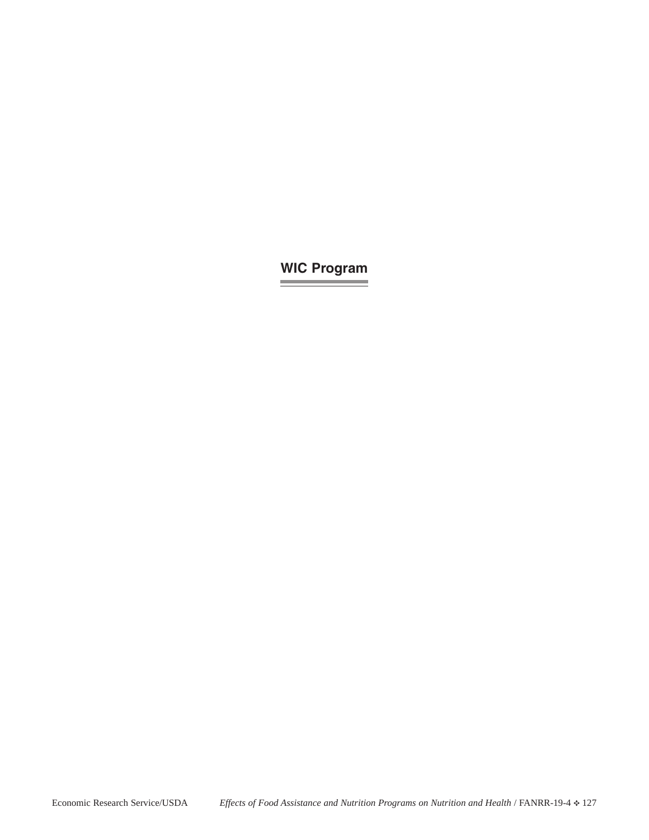## **WIC Program**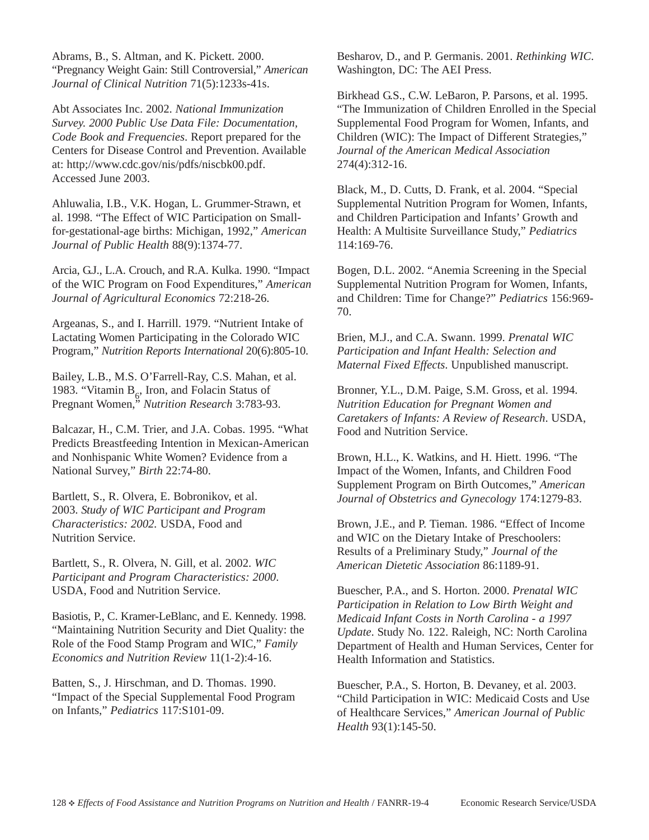Abrams, B., S. Altman, and K. Pickett. 2000. "Pregnancy Weight Gain: Still Controversial," *American Journal of Clinical Nutrition* 71(5):1233s-41s.

Abt Associates Inc. 2002. *National Immunization Survey. 2000 Public Use Data File: Documentation, Code Book and Frequencies*. Report prepared for the Centers for Disease Control and Prevention. Available at: http;//www.cdc.gov/nis/pdfs/niscbk00.pdf. Accessed June 2003.

Ahluwalia, I.B., V.K. Hogan, L. Grummer-Strawn, et al. 1998. "The Effect of WIC Participation on Smallfor-gestational-age births: Michigan, 1992," *American Journal of Public Health* 88(9):1374-77.

Arcia, G.J., L.A. Crouch, and R.A. Kulka. 1990. "Impact of the WIC Program on Food Expenditures," *American Journal of Agricultural Economics* 72:218-26.

Argeanas, S., and I. Harrill. 1979. "Nutrient Intake of Lactating Women Participating in the Colorado WIC Program," *Nutrition Reports International* 20(6):805-10.

Bailey, L.B., M.S. O'Farrell-Ray, C.S. Mahan, et al. 1983. "Vitamin  $B_6$ , Iron, and Folacin Status of Pregnant Women," *Nutrition Research* 3:783-93.

Balcazar, H., C.M. Trier, and J.A. Cobas. 1995. "What Predicts Breastfeeding Intention in Mexican-American and Nonhispanic White Women? Evidence from a National Survey," *Birth* 22:74-80.

Bartlett, S., R. Olvera, E. Bobronikov, et al. 2003. *Study of WIC Participant and Program Characteristics: 2002.* USDA, Food and Nutrition Service.

Bartlett, S., R. Olvera, N. Gill, et al. 2002. *WIC Participant and Program Characteristics: 2000*. USDA, Food and Nutrition Service.

Basiotis, P., C. Kramer-LeBlanc, and E. Kennedy. 1998. "Maintaining Nutrition Security and Diet Quality: the Role of the Food Stamp Program and WIC," *Family Economics and Nutrition Review* 11(1-2):4-16.

Batten, S., J. Hirschman, and D. Thomas. 1990. "Impact of the Special Supplemental Food Program on Infants," *Pediatrics* 117:S101-09.

Besharov, D., and P. Germanis. 2001. *Rethinking WIC*. Washington, DC: The AEI Press.

Birkhead G.S., C.W. LeBaron, P. Parsons, et al. 1995. "The Immunization of Children Enrolled in the Special Supplemental Food Program for Women, Infants, and Children (WIC): The Impact of Different Strategies," *Journal of the American Medical Association* 274(4):312-16.

Black, M., D. Cutts, D. Frank, et al. 2004. "Special Supplemental Nutrition Program for Women, Infants, and Children Participation and Infants' Growth and Health: A Multisite Surveillance Study," *Pediatrics* 114:169-76.

Bogen, D.L. 2002. "Anemia Screening in the Special Supplemental Nutrition Program for Women, Infants, and Children: Time for Change?" *Pediatrics* 156:969- 70.

Brien, M.J., and C.A. Swann. 1999. *Prenatal WIC Participation and Infant Health: Selection and Maternal Fixed Effects*. Unpublished manuscript.

Bronner, Y.L., D.M. Paige, S.M. Gross, et al. 1994. *Nutrition Education for Pregnant Women and Caretakers of Infants: A Review of Research*. USDA, Food and Nutrition Service.

Brown, H.L., K. Watkins, and H. Hiett. 1996. "The Impact of the Women, Infants, and Children Food Supplement Program on Birth Outcomes," *American Journal of Obstetrics and Gynecology* 174:1279-83.

Brown, J.E., and P. Tieman. 1986. "Effect of Income and WIC on the Dietary Intake of Preschoolers: Results of a Preliminary Study," *Journal of the American Dietetic Association* 86:1189-91.

Buescher, P.A., and S. Horton. 2000. *Prenatal WIC Participation in Relation to Low Birth Weight and Medicaid Infant Costs in North Carolina - a 1997 Update*. Study No. 122. Raleigh, NC: North Carolina Department of Health and Human Services, Center for Health Information and Statistics.

Buescher, P.A., S. Horton, B. Devaney, et al. 2003. "Child Participation in WIC: Medicaid Costs and Use of Healthcare Services," *American Journal of Public Health* 93(1):145-50.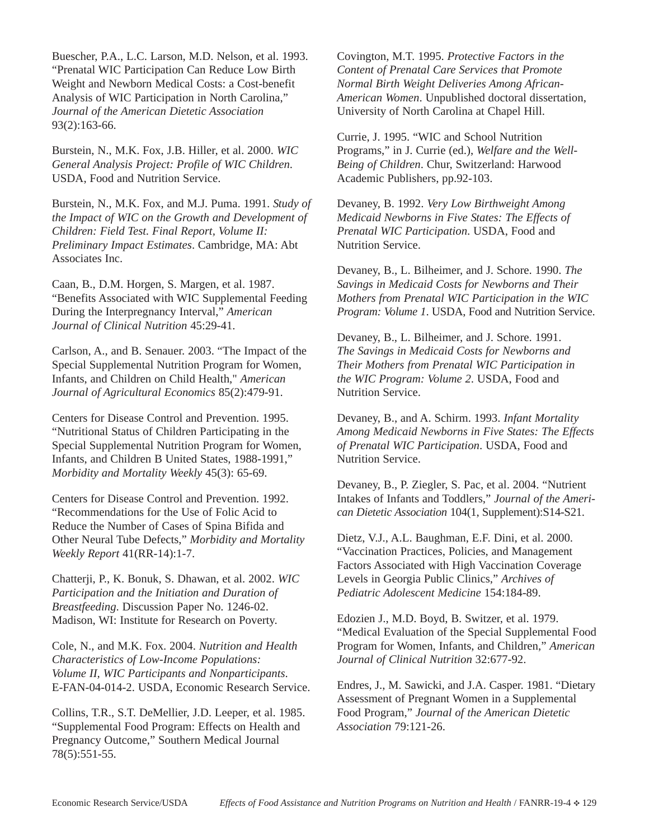Buescher, P.A., L.C. Larson, M.D. Nelson, et al. 1993. "Prenatal WIC Participation Can Reduce Low Birth Weight and Newborn Medical Costs: a Cost-benefit Analysis of WIC Participation in North Carolina," *Journal of the American Dietetic Association* 93(2):163-66.

Burstein, N., M.K. Fox, J.B. Hiller, et al. 2000. *WIC General Analysis Project: Profile of WIC Children*. USDA, Food and Nutrition Service.

Burstein, N., M.K. Fox, and M.J. Puma. 1991. *Study of the Impact of WIC on the Growth and Development of Children: Field Test. Final Report, Volume II: Preliminary Impact Estimates*. Cambridge, MA: Abt Associates Inc.

Caan, B., D.M. Horgen, S. Margen, et al. 1987. "Benefits Associated with WIC Supplemental Feeding During the Interpregnancy Interval," *American Journal of Clinical Nutrition* 45:29-41.

Carlson, A., and B. Senauer. 2003. "The Impact of the Special Supplemental Nutrition Program for Women, Infants, and Children on Child Health," *American Journal of Agricultural Economics* 85(2):479-91.

Centers for Disease Control and Prevention. 1995. "Nutritional Status of Children Participating in the Special Supplemental Nutrition Program for Women, Infants, and Children B United States, 1988-1991," *Morbidity and Mortality Weekly* 45(3): 65-69.

Centers for Disease Control and Prevention. 1992. "Recommendations for the Use of Folic Acid to Reduce the Number of Cases of Spina Bifida and Other Neural Tube Defects," *Morbidity and Mortality Weekly Report* 41(RR-14):1-7.

Chatterji, P., K. Bonuk, S. Dhawan, et al. 2002. *WIC Participation and the Initiation and Duration of Breastfeeding*. Discussion Paper No. 1246-02. Madison, WI: Institute for Research on Poverty.

Cole, N., and M.K. Fox. 2004. *Nutrition and Health Characteristics of Low-Income Populations: Volume II, WIC Participants and Nonparticipants*. E-FAN-04-014-2. USDA, Economic Research Service.

Collins, T.R., S.T. DeMellier, J.D. Leeper, et al. 1985. "Supplemental Food Program: Effects on Health and Pregnancy Outcome," Southern Medical Journal 78(5):551-55.

Covington, M.T. 1995. *Protective Factors in the Content of Prenatal Care Services that Promote Normal Birth Weight Deliveries Among African-American Women*. Unpublished doctoral dissertation, University of North Carolina at Chapel Hill.

Currie, J. 1995. "WIC and School Nutrition Programs," in J. Currie (ed.), *Welfare and the Well-Being of Children*. Chur, Switzerland: Harwood Academic Publishers, pp.92-103.

Devaney, B. 1992. *Very Low Birthweight Among Medicaid Newborns in Five States: The Effects of Prenatal WIC Participation*. USDA, Food and Nutrition Service.

Devaney, B., L. Bilheimer, and J. Schore. 1990. *The Savings in Medicaid Costs for Newborns and Their Mothers from Prenatal WIC Participation in the WIC Program: Volume 1*. USDA, Food and Nutrition Service.

Devaney, B., L. Bilheimer, and J. Schore. 1991. *The Savings in Medicaid Costs for Newborns and Their Mothers from Prenatal WIC Participation in the WIC Program: Volume 2*. USDA, Food and Nutrition Service.

Devaney, B., and A. Schirm. 1993. *Infant Mortality Among Medicaid Newborns in Five States: The Effects of Prenatal WIC Participation*. USDA, Food and Nutrition Service.

Devaney, B., P. Ziegler, S. Pac, et al. 2004. "Nutrient Intakes of Infants and Toddlers," *Journal of the American Dietetic Association* 104(1, Supplement):S14-S21.

Dietz, V.J., A.L. Baughman, E.F. Dini, et al. 2000. "Vaccination Practices, Policies, and Management Factors Associated with High Vaccination Coverage Levels in Georgia Public Clinics," *Archives of Pediatric Adolescent Medicine* 154:184-89.

Edozien J., M.D. Boyd, B. Switzer, et al. 1979. "Medical Evaluation of the Special Supplemental Food Program for Women, Infants, and Children," *American Journal of Clinical Nutrition* 32:677-92.

Endres, J., M. Sawicki, and J.A. Casper. 1981. "Dietary Assessment of Pregnant Women in a Supplemental Food Program," *Journal of the American Dietetic Association* 79:121-26.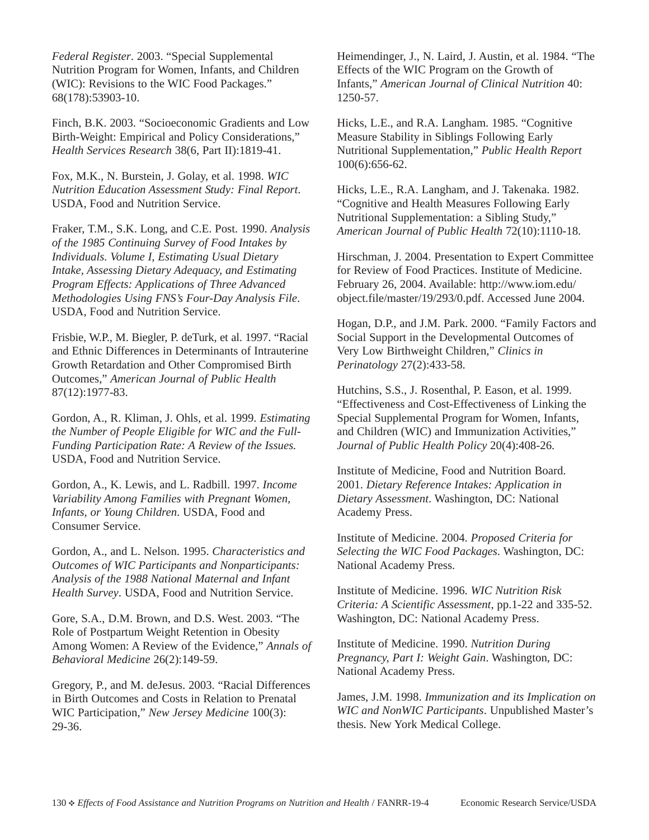*Federal Register*. 2003. "Special Supplemental Nutrition Program for Women, Infants, and Children (WIC): Revisions to the WIC Food Packages." 68(178):53903-10.

Finch, B.K. 2003. "Socioeconomic Gradients and Low Birth-Weight: Empirical and Policy Considerations," *Health Services Research* 38(6, Part II):1819-41.

Fox, M.K., N. Burstein, J. Golay, et al. 1998. *WIC Nutrition Education Assessment Study: Final Report*. USDA, Food and Nutrition Service.

Fraker, T.M., S.K. Long, and C.E. Post. 1990. *Analysis of the 1985 Continuing Survey of Food Intakes by Individuals. Volume I, Estimating Usual Dietary Intake, Assessing Dietary Adequacy, and Estimating Program Effects: Applications of Three Advanced Methodologies Using FNS's Four-Day Analysis File*. USDA, Food and Nutrition Service.

Frisbie, W.P., M. Biegler, P. deTurk, et al. 1997. "Racial and Ethnic Differences in Determinants of Intrauterine Growth Retardation and Other Compromised Birth Outcomes," *American Journal of Public Health* 87(12):1977-83.

Gordon, A., R. Kliman, J. Ohls, et al. 1999. *Estimating the Number of People Eligible for WIC and the Full-Funding Participation Rate: A Review of the Issues.* USDA, Food and Nutrition Service.

Gordon, A., K. Lewis, and L. Radbill. 1997. *Income Variability Among Families with Pregnant Women, Infants, or Young Children*. USDA, Food and Consumer Service.

Gordon, A., and L. Nelson. 1995. *Characteristics and Outcomes of WIC Participants and Nonparticipants: Analysis of the 1988 National Maternal and Infant Health Survey*. USDA, Food and Nutrition Service.

Gore, S.A., D.M. Brown, and D.S. West. 2003. "The Role of Postpartum Weight Retention in Obesity Among Women: A Review of the Evidence," *Annals of Behavioral Medicine* 26(2):149-59.

Gregory, P., and M. deJesus. 2003. "Racial Differences in Birth Outcomes and Costs in Relation to Prenatal WIC Participation," *New Jersey Medicine* 100(3): 29-36.

Heimendinger, J., N. Laird, J. Austin, et al. 1984. "The Effects of the WIC Program on the Growth of Infants," *American Journal of Clinical Nutrition* 40: 1250-57.

Hicks, L.E., and R.A. Langham. 1985. "Cognitive Measure Stability in Siblings Following Early Nutritional Supplementation," *Public Health Report* 100(6):656-62.

Hicks, L.E., R.A. Langham, and J. Takenaka. 1982. "Cognitive and Health Measures Following Early Nutritional Supplementation: a Sibling Study," *American Journal of Public Health* 72(10):1110-18.

Hirschman, J. 2004. Presentation to Expert Committee for Review of Food Practices. Institute of Medicine. February 26, 2004. Available: http://www.iom.edu/ object.file/master/19/293/0.pdf. Accessed June 2004.

Hogan, D.P., and J.M. Park. 2000. "Family Factors and Social Support in the Developmental Outcomes of Very Low Birthweight Children," *Clinics in Perinatology* 27(2):433-58.

Hutchins, S.S., J. Rosenthal, P. Eason, et al. 1999. "Effectiveness and Cost-Effectiveness of Linking the Special Supplemental Program for Women, Infants, and Children (WIC) and Immunization Activities," *Journal of Public Health Policy* 20(4):408-26.

Institute of Medicine, Food and Nutrition Board. 2001. *Dietary Reference Intakes: Application in Dietary Assessment*. Washington, DC: National Academy Press.

Institute of Medicine. 2004. *Proposed Criteria for Selecting the WIC Food Packages*. Washington, DC: National Academy Press.

Institute of Medicine. 1996. *WIC Nutrition Risk Criteria: A Scientific Assessment*, pp.1-22 and 335-52. Washington, DC: National Academy Press.

Institute of Medicine. 1990. *Nutrition During Pregnancy, Part I: Weight Gain*. Washington, DC: National Academy Press.

James, J.M. 1998. *Immunization and its Implication on WIC and NonWIC Participants*. Unpublished Master's thesis. New York Medical College.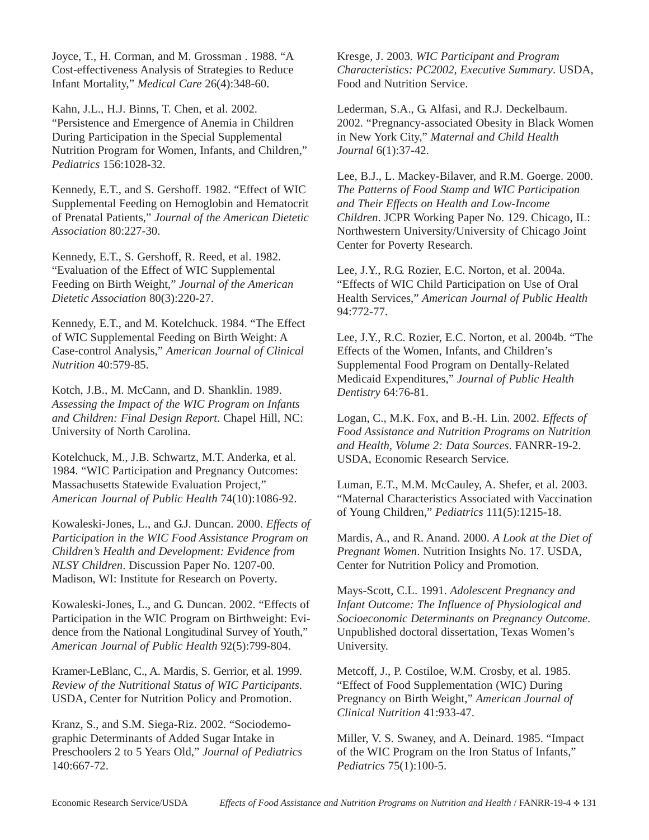Joyce, T., H. Corman, and M. Grossman . 1988. "A Cost-effectiveness Analysis of Strategies to Reduce Infant Mortality," *Medical Care* 26(4):348-60.

Kahn, J.L., H.J. Binns, T. Chen, et al. 2002. "Persistence and Emergence of Anemia in Children During Participation in the Special Supplemental Nutrition Program for Women, Infants, and Children," *Pediatrics* 156:1028-32.

Kennedy, E.T., and S. Gershoff. 1982. "Effect of WIC Supplemental Feeding on Hemoglobin and Hematocrit of Prenatal Patients," *Journal of the American Dietetic Association* 80:227-30.

Kennedy, E.T., S. Gershoff, R. Reed, et al. 1982. "Evaluation of the Effect of WIC Supplemental Feeding on Birth Weight," *Journal of the American Dietetic Association* 80(3):220-27.

Kennedy, E.T., and M. Kotelchuck. 1984. "The Effect of WIC Supplemental Feeding on Birth Weight: A Case-control Analysis," *American Journal of Clinical Nutrition* 40:579-85.

Kotch, J.B., M. McCann, and D. Shanklin. 1989. *Assessing the Impact of the WIC Program on Infants and Children: Final Design Report*. Chapel Hill, NC: University of North Carolina.

Kotelchuck, M., J.B. Schwartz, M.T. Anderka, et al. 1984. "WIC Participation and Pregnancy Outcomes: Massachusetts Statewide Evaluation Project," *American Journal of Public Health* 74(10):1086-92.

Kowaleski-Jones, L., and G.J. Duncan. 2000. *Effects of Participation in the WIC Food Assistance Program on Children's Health and Development: Evidence from NLSY Children*. Discussion Paper No. 1207-00. Madison, WI: Institute for Research on Poverty.

Kowaleski-Jones, L., and G. Duncan. 2002. "Effects of Participation in the WIC Program on Birthweight: Evidence from the National Longitudinal Survey of Youth," *American Journal of Public Health* 92(5):799-804.

Kramer-LeBlanc, C., A. Mardis, S. Gerrior, et al. 1999. *Review of the Nutritional Status of WIC Participants*. USDA, Center for Nutrition Policy and Promotion.

Kranz, S., and S.M. Siega-Riz. 2002. "Sociodemographic Determinants of Added Sugar Intake in Preschoolers 2 to 5 Years Old," *Journal of Pediatrics* 140:667-72.

Kresge, J. 2003. *WIC Participant and Program Characteristics: PC2002, Executive Summary*. USDA, Food and Nutrition Service.

Lederman, S.A., G. Alfasi, and R.J. Deckelbaum. 2002. "Pregnancy-associated Obesity in Black Women in New York City," *Maternal and Child Health Journal* 6(1):37-42.

Lee, B.J., L. Mackey-Bilaver, and R.M. Goerge. 2000. *The Patterns of Food Stamp and WIC Participation and Their Effects on Health and Low-Income Children*. JCPR Working Paper No. 129. Chicago, IL: Northwestern University/University of Chicago Joint Center for Poverty Research.

Lee, J.Y., R.G. Rozier, E.C. Norton, et al. 2004a. "Effects of WIC Child Participation on Use of Oral Health Services," *American Journal of Public Health* 94:772-77.

Lee, J.Y., R.C. Rozier, E.C. Norton, et al. 2004b. "The Effects of the Women, Infants, and Children's Supplemental Food Program on Dentally-Related Medicaid Expenditures," *Journal of Public Health Dentistry* 64:76-81.

Logan, C., M.K. Fox, and B.-H. Lin. 2002. *Effects of Food Assistance and Nutrition Programs on Nutrition and Health, Volume 2: Data Sources*. FANRR-19-2. USDA, Economic Research Service.

Luman, E.T., M.M. McCauley, A. Shefer, et al. 2003. "Maternal Characteristics Associated with Vaccination of Young Children," *Pediatrics* 111(5):1215-18.

Mardis, A., and R. Anand. 2000. *A Look at the Diet of Pregnant Women*. Nutrition Insights No. 17. USDA, Center for Nutrition Policy and Promotion.

Mays-Scott, C.L. 1991. *Adolescent Pregnancy and Infant Outcome: The Influence of Physiological and Socioeconomic Determinants on Pregnancy Outcome*. Unpublished doctoral dissertation, Texas Women's University.

Metcoff, J., P. Costiloe, W.M. Crosby, et al. 1985. "Effect of Food Supplementation (WIC) During Pregnancy on Birth Weight," *American Journal of Clinical Nutrition* 41:933-47.

Miller, V. S. Swaney, and A. Deinard. 1985. "Impact of the WIC Program on the Iron Status of Infants," *Pediatrics* 75(1):100-5.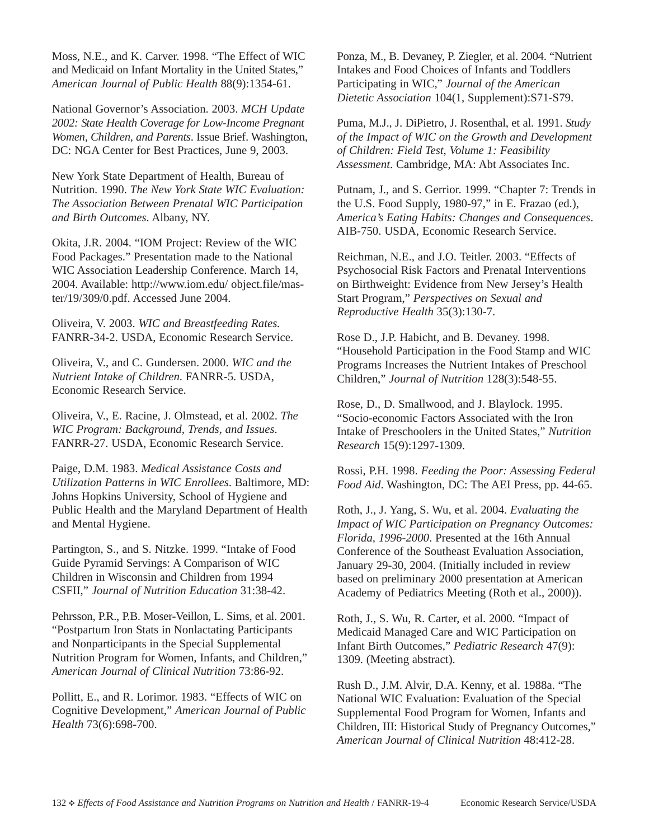Moss, N.E., and K. Carver. 1998. "The Effect of WIC and Medicaid on Infant Mortality in the United States," *American Journal of Public Health* 88(9):1354-61.

National Governor's Association. 2003. *MCH Update 2002: State Health Coverage for Low-Income Pregnant Women, Children, and Parents*. Issue Brief. Washington, DC: NGA Center for Best Practices, June 9, 2003.

New York State Department of Health, Bureau of Nutrition. 1990. *The New York State WIC Evaluation: The Association Between Prenatal WIC Participation and Birth Outcomes*. Albany, NY.

Okita, J.R. 2004. "IOM Project: Review of the WIC Food Packages." Presentation made to the National WIC Association Leadership Conference. March 14, 2004. Available: http://www.iom.edu/ object.file/master/19/309/0.pdf. Accessed June 2004.

Oliveira, V. 2003. *WIC and Breastfeeding Rates.* FANRR-34-2. USDA, Economic Research Service.

Oliveira, V., and C. Gundersen. 2000. *WIC and the Nutrient Intake of Children*. FANRR-5. USDA, Economic Research Service.

Oliveira, V., E. Racine, J. Olmstead, et al. 2002. *The WIC Program: Background, Trends, and Issues*. FANRR-27. USDA, Economic Research Service.

Paige, D.M. 1983. *Medical Assistance Costs and Utilization Patterns in WIC Enrollees*. Baltimore, MD: Johns Hopkins University, School of Hygiene and Public Health and the Maryland Department of Health and Mental Hygiene.

Partington, S., and S. Nitzke. 1999. "Intake of Food Guide Pyramid Servings: A Comparison of WIC Children in Wisconsin and Children from 1994 CSFII," *Journal of Nutrition Education* 31:38-42.

Pehrsson, P.R., P.B. Moser-Veillon, L. Sims, et al. 2001. "Postpartum Iron Stats in Nonlactating Participants and Nonparticipants in the Special Supplemental Nutrition Program for Women, Infants, and Children," *American Journal of Clinical Nutrition* 73:86-92.

Pollitt, E., and R. Lorimor. 1983. "Effects of WIC on Cognitive Development," *American Journal of Public Health* 73(6):698-700.

Ponza, M., B. Devaney, P. Ziegler, et al. 2004. "Nutrient Intakes and Food Choices of Infants and Toddlers Participating in WIC," *Journal of the American Dietetic Association* 104(1, Supplement):S71-S79.

Puma, M.J., J. DiPietro, J. Rosenthal, et al. 1991. *Study of the Impact of WIC on the Growth and Development of Children: Field Test, Volume 1: Feasibility Assessment*. Cambridge, MA: Abt Associates Inc.

Putnam, J., and S. Gerrior. 1999. "Chapter 7: Trends in the U.S. Food Supply, 1980-97," in E. Frazao (ed.), *America's Eating Habits: Changes and Consequences*. AIB-750. USDA, Economic Research Service.

Reichman, N.E., and J.O. Teitler. 2003. "Effects of Psychosocial Risk Factors and Prenatal Interventions on Birthweight: Evidence from New Jersey's Health Start Program," *Perspectives on Sexual and Reproductive Health* 35(3):130-7.

Rose D., J.P. Habicht, and B. Devaney. 1998. "Household Participation in the Food Stamp and WIC Programs Increases the Nutrient Intakes of Preschool Children," *Journal of Nutrition* 128(3):548-55.

Rose, D., D. Smallwood, and J. Blaylock. 1995. "Socio-economic Factors Associated with the Iron Intake of Preschoolers in the United States," *Nutrition Research* 15(9):1297-1309.

Rossi, P.H. 1998. *Feeding the Poor: Assessing Federal Food Aid*. Washington, DC: The AEI Press, pp. 44-65.

Roth, J., J. Yang, S. Wu, et al. 2004. *Evaluating the Impact of WIC Participation on Pregnancy Outcomes: Florida, 1996-2000*. Presented at the 16th Annual Conference of the Southeast Evaluation Association, January 29-30, 2004. (Initially included in review based on preliminary 2000 presentation at American Academy of Pediatrics Meeting (Roth et al., 2000)).

Roth, J., S. Wu, R. Carter, et al. 2000. "Impact of Medicaid Managed Care and WIC Participation on Infant Birth Outcomes," *Pediatric Research* 47(9): 1309. (Meeting abstract).

Rush D., J.M. Alvir, D.A. Kenny, et al. 1988a. "The National WIC Evaluation: Evaluation of the Special Supplemental Food Program for Women, Infants and Children, III: Historical Study of Pregnancy Outcomes," *American Journal of Clinical Nutrition* 48:412-28.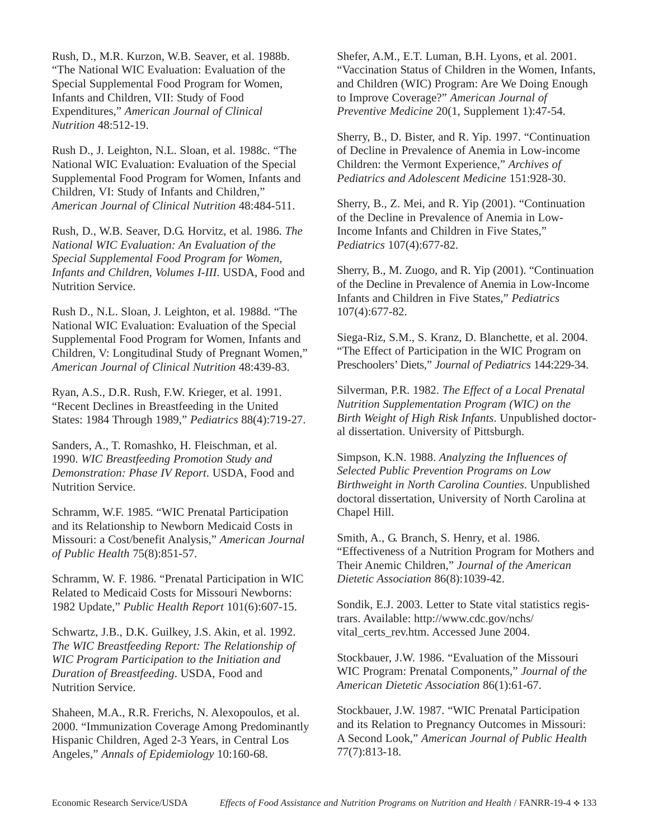Rush, D., M.R. Kurzon, W.B. Seaver, et al. 1988b. "The National WIC Evaluation: Evaluation of the Special Supplemental Food Program for Women, Infants and Children, VII: Study of Food Expenditures," *American Journal of Clinical Nutrition* 48:512-19.

Rush D., J. Leighton, N.L. Sloan, et al. 1988c. "The National WIC Evaluation: Evaluation of the Special Supplemental Food Program for Women, Infants and Children, VI: Study of Infants and Children," *American Journal of Clinical Nutrition* 48:484-511.

Rush, D., W.B. Seaver, D.G. Horvitz, et al. 1986. *The National WIC Evaluation: An Evaluation of the Special Supplemental Food Program for Women, Infants and Children, Volumes I-III*. USDA, Food and Nutrition Service.

Rush D., N.L. Sloan, J. Leighton, et al. 1988d. "The National WIC Evaluation: Evaluation of the Special Supplemental Food Program for Women, Infants and Children, V: Longitudinal Study of Pregnant Women," *American Journal of Clinical Nutrition* 48:439-83.

Ryan, A.S., D.R. Rush, F.W. Krieger, et al. 1991. "Recent Declines in Breastfeeding in the United States: 1984 Through 1989," *Pediatrics* 88(4):719-27.

Sanders, A., T. Romashko, H. Fleischman, et al. 1990. *WIC Breastfeeding Promotion Study and Demonstration: Phase IV Report*. USDA, Food and Nutrition Service.

Schramm, W.F. 1985. "WIC Prenatal Participation and its Relationship to Newborn Medicaid Costs in Missouri: a Cost/benefit Analysis," *American Journal of Public Health* 75(8):851-57.

Schramm, W. F. 1986. "Prenatal Participation in WIC Related to Medicaid Costs for Missouri Newborns: 1982 Update," *Public Health Report* 101(6):607-15.

Schwartz, J.B., D.K. Guilkey, J.S. Akin, et al. 1992. *The WIC Breastfeeding Report: The Relationship of WIC Program Participation to the Initiation and Duration of Breastfeeding*. USDA, Food and Nutrition Service.

Shaheen, M.A., R.R. Frerichs, N. Alexopoulos, et al. 2000. "Immunization Coverage Among Predominantly Hispanic Children, Aged 2-3 Years, in Central Los Angeles," *Annals of Epidemiology* 10:160-68.

Shefer, A.M., E.T. Luman, B.H. Lyons, et al. 2001. "Vaccination Status of Children in the Women, Infants, and Children (WIC) Program: Are We Doing Enough to Improve Coverage?" *American Journal of Preventive Medicine* 20(1, Supplement 1):47-54.

Sherry, B., D. Bister, and R. Yip. 1997. "Continuation of Decline in Prevalence of Anemia in Low-income Children: the Vermont Experience," *Archives of Pediatrics and Adolescent Medicine* 151:928-30.

Sherry, B., Z. Mei, and R. Yip (2001). "Continuation of the Decline in Prevalence of Anemia in Low-Income Infants and Children in Five States," *Pediatrics* 107(4):677-82.

Sherry, B., M. Zuogo, and R. Yip (2001). "Continuation of the Decline in Prevalence of Anemia in Low-Income Infants and Children in Five States," *Pediatrics* 107(4):677-82.

Siega-Riz, S.M., S. Kranz, D. Blanchette, et al. 2004. "The Effect of Participation in the WIC Program on Preschoolers' Diets," *Journal of Pediatrics* 144:229-34.

Silverman, P.R. 1982. *The Effect of a Local Prenatal Nutrition Supplementation Program (WIC) on the Birth Weight of High Risk Infants*. Unpublished doctoral dissertation. University of Pittsburgh.

Simpson, K.N. 1988. *Analyzing the Influences of Selected Public Prevention Programs on Low Birthweight in North Carolina Counties*. Unpublished doctoral dissertation, University of North Carolina at Chapel Hill.

Smith, A., G. Branch, S. Henry, et al. 1986. "Effectiveness of a Nutrition Program for Mothers and Their Anemic Children," *Journal of the American Dietetic Association* 86(8):1039-42.

Sondik, E.J. 2003. Letter to State vital statistics registrars. Available: http://www.cdc.gov/nchs/ vital\_certs\_rev.htm. Accessed June 2004.

Stockbauer, J.W. 1986. "Evaluation of the Missouri WIC Program: Prenatal Components," *Journal of the American Dietetic Association* 86(1):61-67.

Stockbauer, J.W. 1987. "WIC Prenatal Participation and its Relation to Pregnancy Outcomes in Missouri: A Second Look," *American Journal of Public Health* 77(7):813-18.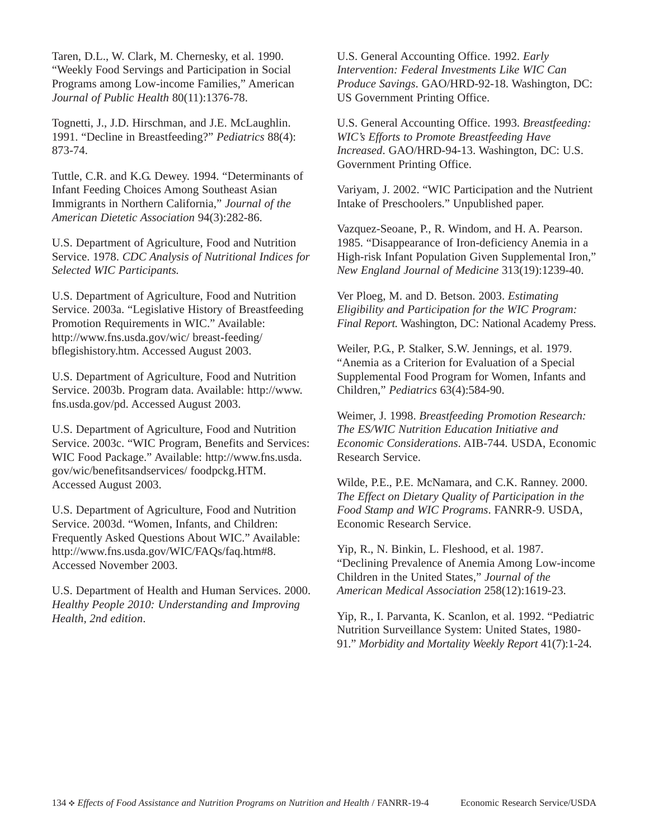Taren, D.L., W. Clark, M. Chernesky, et al. 1990. "Weekly Food Servings and Participation in Social Programs among Low-income Families," American *Journal of Public Health* 80(11):1376-78.

Tognetti, J., J.D. Hirschman, and J.E. McLaughlin. 1991. "Decline in Breastfeeding?" *Pediatrics* 88(4): 873-74.

Tuttle, C.R. and K.G. Dewey. 1994. "Determinants of Infant Feeding Choices Among Southeast Asian Immigrants in Northern California," *Journal of the American Dietetic Association* 94(3):282-86.

U.S. Department of Agriculture, Food and Nutrition Service. 1978. *CDC Analysis of Nutritional Indices for Selected WIC Participants.*

U.S. Department of Agriculture, Food and Nutrition Service. 2003a. "Legislative History of Breastfeeding Promotion Requirements in WIC." Available: http://www.fns.usda.gov/wic/ breast-feeding/ bflegishistory.htm. Accessed August 2003.

U.S. Department of Agriculture, Food and Nutrition Service. 2003b. Program data. Available: http://www. fns.usda.gov/pd. Accessed August 2003.

U.S. Department of Agriculture, Food and Nutrition Service. 2003c. "WIC Program, Benefits and Services: WIC Food Package." Available: http://www.fns.usda. gov/wic/benefitsandservices/ foodpckg.HTM. Accessed August 2003.

U.S. Department of Agriculture, Food and Nutrition Service. 2003d. "Women, Infants, and Children: Frequently Asked Questions About WIC." Available: http://www.fns.usda.gov/WIC/FAQs/faq.htm#8. Accessed November 2003.

U.S. Department of Health and Human Services. 2000. *Healthy People 2010: Understanding and Improving Health, 2nd edition*.

U.S. General Accounting Office. 1992. *Early Intervention: Federal Investments Like WIC Can Produce Savings*. GAO/HRD-92-18. Washington, DC: US Government Printing Office.

U.S. General Accounting Office. 1993. *Breastfeeding: WIC's Efforts to Promote Breastfeeding Have Increased*. GAO/HRD-94-13. Washington, DC: U.S. Government Printing Office.

Variyam, J. 2002. "WIC Participation and the Nutrient Intake of Preschoolers." Unpublished paper.

Vazquez-Seoane, P., R. Windom, and H. A. Pearson. 1985. "Disappearance of Iron-deficiency Anemia in a High-risk Infant Population Given Supplemental Iron," *New England Journal of Medicine* 313(19):1239-40.

Ver Ploeg, M. and D. Betson. 2003. *Estimating Eligibility and Participation for the WIC Program: Final Report.* Washington, DC: National Academy Press.

Weiler, P.G., P. Stalker, S.W. Jennings, et al. 1979. "Anemia as a Criterion for Evaluation of a Special Supplemental Food Program for Women, Infants and Children," *Pediatrics* 63(4):584-90.

Weimer, J. 1998. *Breastfeeding Promotion Research: The ES/WIC Nutrition Education Initiative and Economic Considerations*. AIB-744. USDA, Economic Research Service.

Wilde, P.E., P.E. McNamara, and C.K. Ranney. 2000. *The Effect on Dietary Quality of Participation in the Food Stamp and WIC Programs*. FANRR-9. USDA, Economic Research Service.

Yip, R., N. Binkin, L. Fleshood, et al. 1987. "Declining Prevalence of Anemia Among Low-income Children in the United States," *Journal of the American Medical Association* 258(12):1619-23.

Yip, R., I. Parvanta, K. Scanlon, et al. 1992. "Pediatric Nutrition Surveillance System: United States, 1980- 91." *Morbidity and Mortality Weekly Report* 41(7):1-24.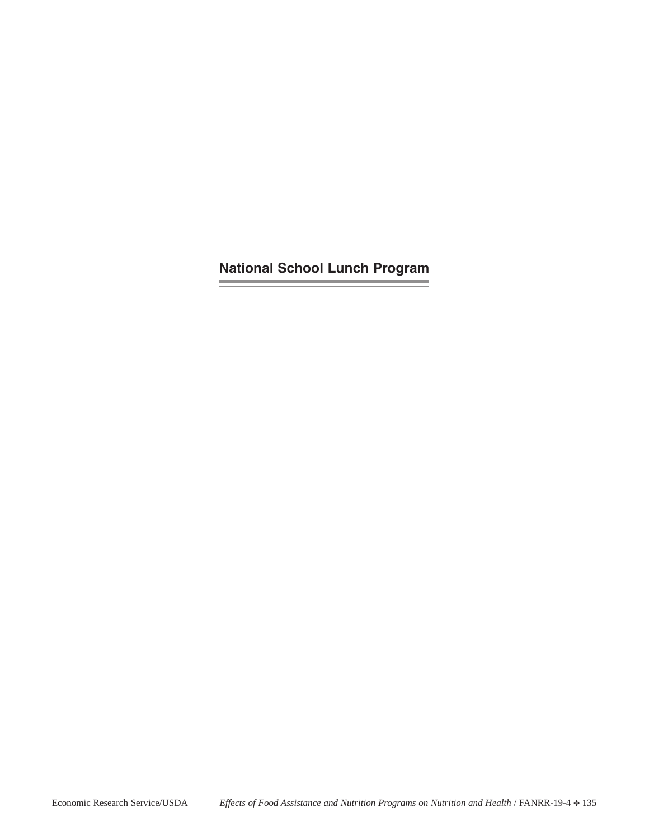**National School Lunch Program**

and the control of the control of the

and the control of the control of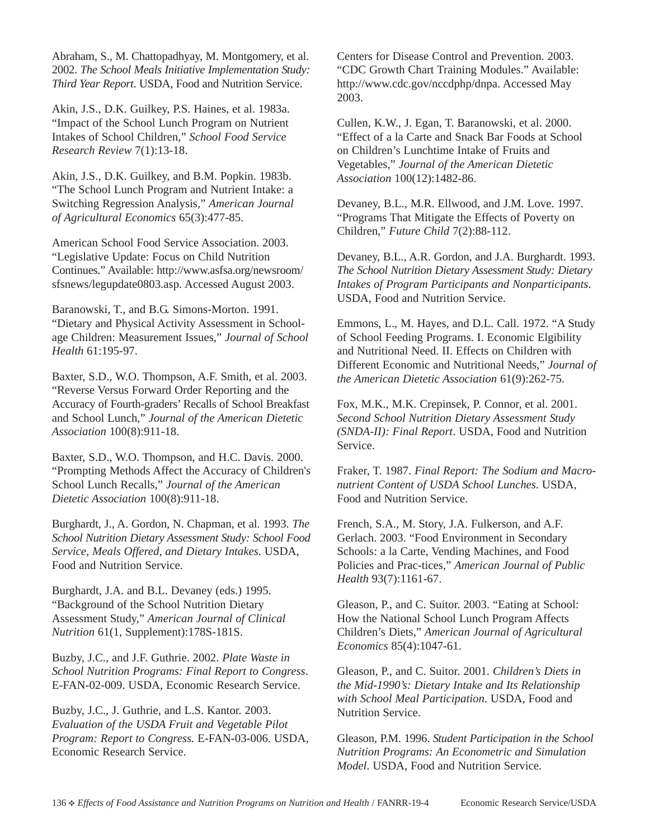Abraham, S., M. Chattopadhyay, M. Montgomery, et al. 2002. *The School Meals Initiative Implementation Study: Third Year Report*. USDA, Food and Nutrition Service.

Akin, J.S., D.K. Guilkey, P.S. Haines, et al. 1983a. "Impact of the School Lunch Program on Nutrient Intakes of School Children," *School Food Service Research Review* 7(1):13-18.

Akin, J.S., D.K. Guilkey, and B.M. Popkin. 1983b. "The School Lunch Program and Nutrient Intake: a Switching Regression Analysis," *American Journal of Agricultural Economics* 65(3):477-85.

American School Food Service Association. 2003. "Legislative Update: Focus on Child Nutrition Continues." Available: http://www.asfsa.org/newsroom/ sfsnews/legupdate0803.asp. Accessed August 2003.

Baranowski, T., and B.G. Simons-Morton. 1991. "Dietary and Physical Activity Assessment in Schoolage Children: Measurement Issues," *Journal of School Health* 61:195-97.

Baxter, S.D., W.O. Thompson, A.F. Smith, et al. 2003. "Reverse Versus Forward Order Reporting and the Accuracy of Fourth-graders' Recalls of School Breakfast and School Lunch," *Journal of the American Dietetic Association* 100(8):911-18.

Baxter, S.D., W.O. Thompson, and H.C. Davis. 2000. "Prompting Methods Affect the Accuracy of Children's School Lunch Recalls," *Journal of the American Dietetic Association* 100(8):911-18.

Burghardt, J., A. Gordon, N. Chapman, et al. 1993. *The School Nutrition Dietary Assessment Study: School Food Service, Meals Offered, and Dietary Intakes*. USDA, Food and Nutrition Service.

Burghardt, J.A. and B.L. Devaney (eds.) 1995. "Background of the School Nutrition Dietary Assessment Study," *American Journal of Clinical Nutrition* 61(1, Supplement):178S-181S.

Buzby, J.C., and J.F. Guthrie. 2002. *Plate Waste in School Nutrition Programs: Final Report to Congress*. E-FAN-02-009. USDA, Economic Research Service.

Buzby, J.C., J. Guthrie, and L.S. Kantor. 2003. *Evaluation of the USDA Fruit and Vegetable Pilot Program: Report to Congress.* E-FAN-03-006. USDA, Economic Research Service.

Centers for Disease Control and Prevention. 2003. "CDC Growth Chart Training Modules." Available: http://www.cdc.gov/nccdphp/dnpa. Accessed May 2003.

Cullen, K.W., J. Egan, T. Baranowski, et al. 2000. "Effect of a la Carte and Snack Bar Foods at School on Children's Lunchtime Intake of Fruits and Vegetables," *Journal of the American Dietetic Association* 100(12):1482-86.

Devaney, B.L., M.R. Ellwood, and J.M. Love. 1997. "Programs That Mitigate the Effects of Poverty on Children," *Future Child* 7(2):88-112.

Devaney, B.L., A.R. Gordon, and J.A. Burghardt. 1993. *The School Nutrition Dietary Assessment Study: Dietary Intakes of Program Participants and Nonparticipants*. USDA, Food and Nutrition Service.

Emmons, L., M. Hayes, and D.L. Call. 1972. "A Study of School Feeding Programs. I. Economic Elgibility and Nutritional Need. II. Effects on Children with Different Economic and Nutritional Needs," *Journal of the American Dietetic Association* 61(9):262-75.

Fox, M.K., M.K. Crepinsek, P. Connor, et al. 2001. *Second School Nutrition Dietary Assessment Study (SNDA-II): Final Report*. USDA, Food and Nutrition Service.

Fraker, T. 1987. *Final Report: The Sodium and Macronutrient Content of USDA School Lunches.* USDA, Food and Nutrition Service.

French, S.A., M. Story, J.A. Fulkerson, and A.F. Gerlach. 2003. "Food Environment in Secondary Schools: a la Carte, Vending Machines, and Food Policies and Prac-tices," *American Journal of Public Health* 93(7):1161-67.

Gleason, P., and C. Suitor. 2003. "Eating at School: How the National School Lunch Program Affects Children's Diets," *American Journal of Agricultural Economics* 85(4):1047-61.

Gleason, P., and C. Suitor. 2001. *Children's Diets in the Mid-1990's: Dietary Intake and Its Relationship with School Meal Participation*. USDA, Food and Nutrition Service.

Gleason, P.M. 1996. *Student Participation in the School Nutrition Programs: An Econometric and Simulation Model*. USDA, Food and Nutrition Service.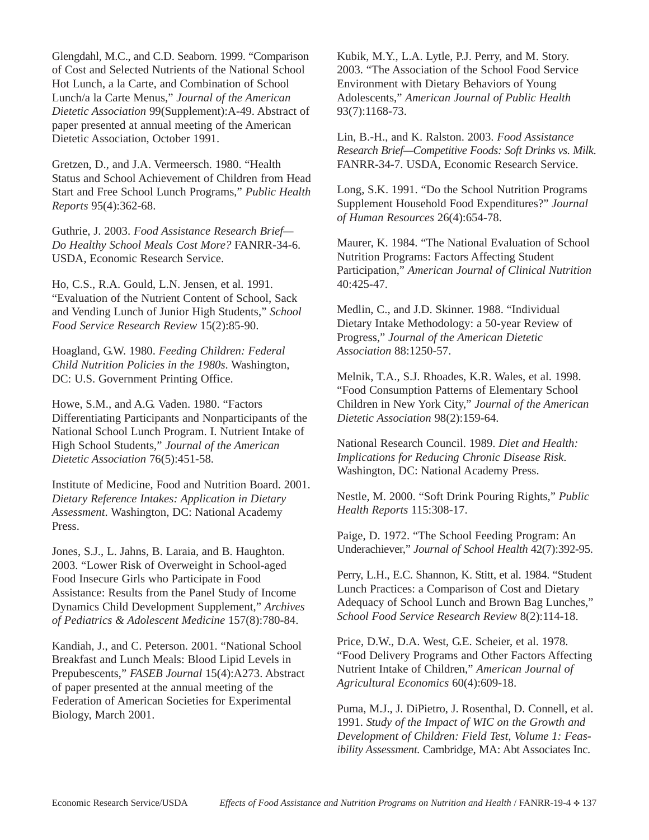Glengdahl, M.C., and C.D. Seaborn. 1999. "Comparison of Cost and Selected Nutrients of the National School Hot Lunch, a la Carte, and Combination of School Lunch/a la Carte Menus," *Journal of the American Dietetic Association* 99(Supplement):A-49. Abstract of paper presented at annual meeting of the American Dietetic Association, October 1991.

Gretzen, D., and J.A. Vermeersch. 1980. "Health Status and School Achievement of Children from Head Start and Free School Lunch Programs," *Public Health Reports* 95(4):362-68.

Guthrie, J. 2003. *Food Assistance Research Brief— Do Healthy School Meals Cost More?* FANRR-34-6. USDA, Economic Research Service.

Ho, C.S., R.A. Gould, L.N. Jensen, et al. 1991. "Evaluation of the Nutrient Content of School, Sack and Vending Lunch of Junior High Students," *School Food Service Research Review* 15(2):85-90.

Hoagland, G.W. 1980. *Feeding Children: Federal Child Nutrition Policies in the 1980s*. Washington, DC: U.S. Government Printing Office.

Howe, S.M., and A.G. Vaden. 1980. "Factors Differentiating Participants and Nonparticipants of the National School Lunch Program. I. Nutrient Intake of High School Students," *Journal of the American Dietetic Association* 76(5):451-58.

Institute of Medicine, Food and Nutrition Board. 2001. *Dietary Reference Intakes: Application in Dietary Assessment*. Washington, DC: National Academy Press.

Jones, S.J., L. Jahns, B. Laraia, and B. Haughton. 2003. "Lower Risk of Overweight in School-aged Food Insecure Girls who Participate in Food Assistance: Results from the Panel Study of Income Dynamics Child Development Supplement," *Archives of Pediatrics & Adolescent Medicine* 157(8):780-84.

Kandiah, J., and C. Peterson. 2001. "National School Breakfast and Lunch Meals: Blood Lipid Levels in Prepubescents," *FASEB Journal* 15(4):A273. Abstract of paper presented at the annual meeting of the Federation of American Societies for Experimental Biology, March 2001.

Kubik, M.Y., L.A. Lytle, P.J. Perry, and M. Story. 2003. "The Association of the School Food Service Environment with Dietary Behaviors of Young Adolescents," *American Journal of Public Health* 93(7):1168-73.

Lin, B.-H., and K. Ralston. 2003. *Food Assistance Research Brief—Competitive Foods: Soft Drinks vs. Milk*. FANRR-34-7. USDA, Economic Research Service.

Long, S.K. 1991. "Do the School Nutrition Programs Supplement Household Food Expenditures?" *Journal of Human Resources* 26(4):654-78.

Maurer, K. 1984. "The National Evaluation of School Nutrition Programs: Factors Affecting Student Participation," *American Journal of Clinical Nutrition* 40:425-47.

Medlin, C., and J.D. Skinner. 1988. "Individual Dietary Intake Methodology: a 50-year Review of Progress," *Journal of the American Dietetic Association* 88:1250-57.

Melnik, T.A., S.J. Rhoades, K.R. Wales, et al. 1998. "Food Consumption Patterns of Elementary School Children in New York City," *Journal of the American Dietetic Association* 98(2):159-64.

National Research Council. 1989. *Diet and Health: Implications for Reducing Chronic Disease Risk*. Washington, DC: National Academy Press.

Nestle, M. 2000. "Soft Drink Pouring Rights," *Public Health Reports* 115:308-17.

Paige, D. 1972. "The School Feeding Program: An Underachiever," *Journal of School Health* 42(7):392-95.

Perry, L.H., E.C. Shannon, K. Stitt, et al. 1984. "Student Lunch Practices: a Comparison of Cost and Dietary Adequacy of School Lunch and Brown Bag Lunches," *School Food Service Research Review* 8(2):114-18.

Price, D.W., D.A. West, G.E. Scheier, et al. 1978. "Food Delivery Programs and Other Factors Affecting Nutrient Intake of Children," *American Journal of Agricultural Economics* 60(4):609-18.

Puma, M.J., J. DiPietro, J. Rosenthal, D. Connell, et al. 1991. *Study of the Impact of WIC on the Growth and Development of Children: Field Test, Volume 1: Feasibility Assessment.* Cambridge, MA: Abt Associates Inc.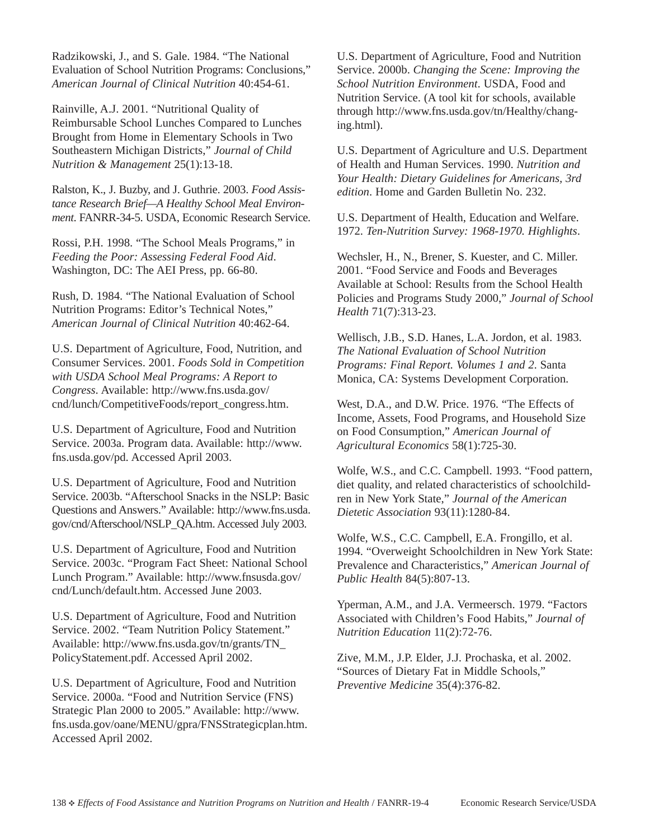Radzikowski, J., and S. Gale. 1984. "The National Evaluation of School Nutrition Programs: Conclusions," *American Journal of Clinical Nutrition* 40:454-61.

Rainville, A.J. 2001. "Nutritional Quality of Reimbursable School Lunches Compared to Lunches Brought from Home in Elementary Schools in Two Southeastern Michigan Districts," *Journal of Child Nutrition & Management* 25(1):13-18.

Ralston, K., J. Buzby, and J. Guthrie. 2003. *Food Assistance Research Brief—A Healthy School Meal Environment*. FANRR-34-5. USDA, Economic Research Service.

Rossi, P.H. 1998. "The School Meals Programs," in *Feeding the Poor: Assessing Federal Food Aid*. Washington, DC: The AEI Press, pp. 66-80.

Rush, D. 1984. "The National Evaluation of School Nutrition Programs: Editor's Technical Notes," *American Journal of Clinical Nutrition* 40:462-64.

U.S. Department of Agriculture, Food, Nutrition, and Consumer Services. 2001. *Foods Sold in Competition with USDA School Meal Programs: A Report to Congress*. Available: http://www.fns.usda.gov/ cnd/lunch/CompetitiveFoods/report\_congress.htm.

U.S. Department of Agriculture, Food and Nutrition Service. 2003a. Program data. Available: http://www. fns.usda.gov/pd. Accessed April 2003.

U.S. Department of Agriculture, Food and Nutrition Service. 2003b. "Afterschool Snacks in the NSLP: Basic Questions and Answers." Available: http://www.fns.usda. gov/cnd/Afterschool/NSLP\_QA.htm. Accessed July 2003.

U.S. Department of Agriculture, Food and Nutrition Service. 2003c. "Program Fact Sheet: National School Lunch Program." Available: http://www.fnsusda.gov/ cnd/Lunch/default.htm. Accessed June 2003.

U.S. Department of Agriculture, Food and Nutrition Service. 2002. "Team Nutrition Policy Statement." Available: http://www.fns.usda.gov/tn/grants/TN\_ PolicyStatement.pdf. Accessed April 2002.

U.S. Department of Agriculture, Food and Nutrition Service. 2000a. "Food and Nutrition Service (FNS) Strategic Plan 2000 to 2005." Available: http://www. fns.usda.gov/oane/MENU/gpra/FNSStrategicplan.htm. Accessed April 2002.

U.S. Department of Agriculture, Food and Nutrition Service. 2000b. *Changing the Scene: Improving the School Nutrition Environment*. USDA, Food and Nutrition Service. (A tool kit for schools, available through http://www.fns.usda.gov/tn/Healthy/changing.html).

U.S. Department of Agriculture and U.S. Department of Health and Human Services. 1990. *Nutrition and Your Health: Dietary Guidelines for Americans, 3rd edition*. Home and Garden Bulletin No. 232.

U.S. Department of Health, Education and Welfare. 1972. *Ten-Nutrition Survey: 1968-1970. Highlights*.

Wechsler, H., N., Brener, S. Kuester, and C. Miller. 2001. "Food Service and Foods and Beverages Available at School: Results from the School Health Policies and Programs Study 2000," *Journal of School Health* 71(7):313-23.

Wellisch, J.B., S.D. Hanes, L.A. Jordon, et al. 1983. *The National Evaluation of School Nutrition Programs: Final Report. Volumes 1 and 2*. Santa Monica, CA: Systems Development Corporation.

West, D.A., and D.W. Price. 1976. "The Effects of Income, Assets, Food Programs, and Household Size on Food Consumption," *American Journal of Agricultural Economics* 58(1):725-30.

Wolfe, W.S., and C.C. Campbell. 1993. "Food pattern, diet quality, and related characteristics of schoolchildren in New York State," *Journal of the American Dietetic Association* 93(11):1280-84.

Wolfe, W.S., C.C. Campbell, E.A. Frongillo, et al. 1994. "Overweight Schoolchildren in New York State: Prevalence and Characteristics," *American Journal of Public Health* 84(5):807-13.

Yperman, A.M., and J.A. Vermeersch. 1979. "Factors Associated with Children's Food Habits," *Journal of Nutrition Education* 11(2):72-76.

Zive, M.M., J.P. Elder, J.J. Prochaska, et al. 2002. "Sources of Dietary Fat in Middle Schools," *Preventive Medicine* 35(4):376-82.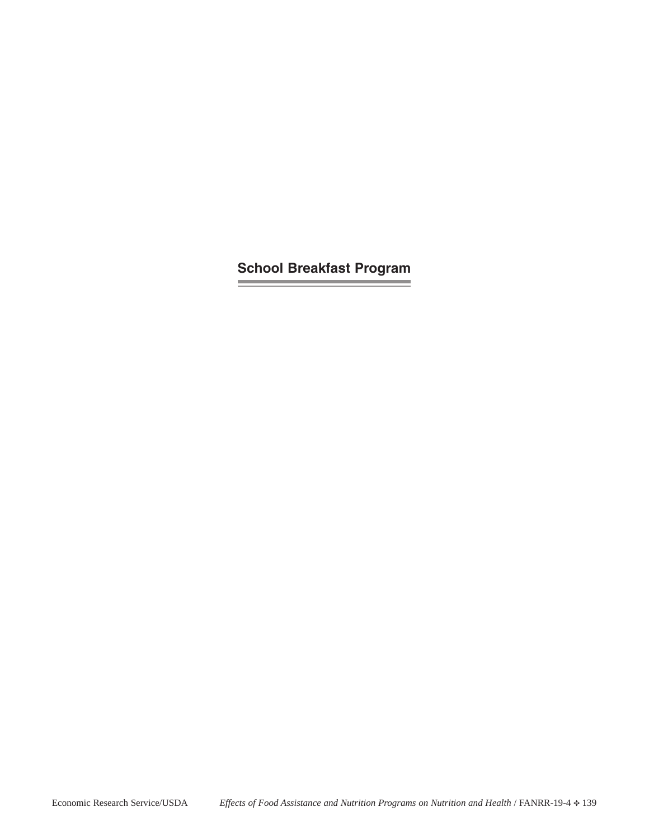**School Breakfast Program**the control of the control of the control of the control of the control of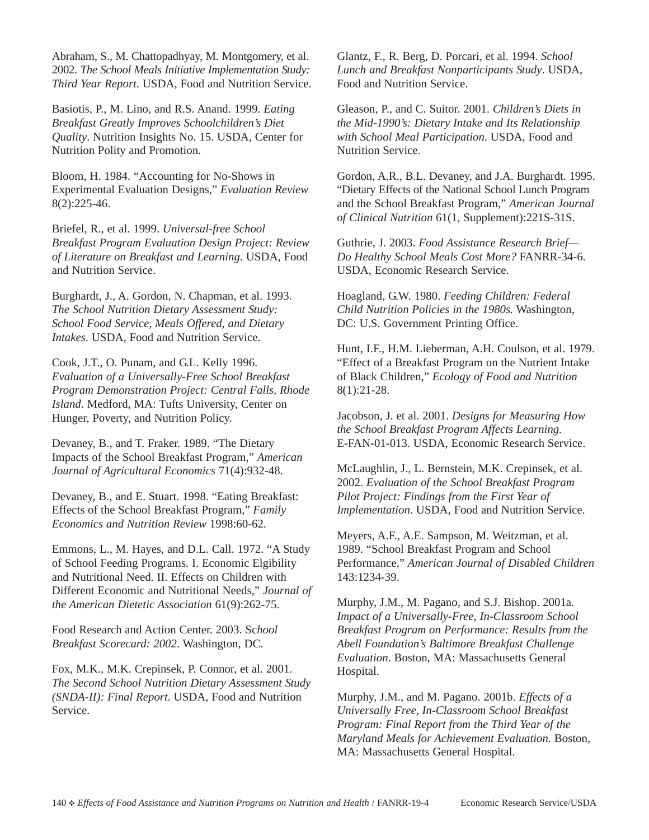Abraham, S., M. Chattopadhyay, M. Montgomery, et al. 2002. *The School Meals Initiative Implementation Study: Third Year Report*. USDA, Food and Nutrition Service.

Basiotis, P., M. Lino, and R.S. Anand. 1999. *Eating Breakfast Greatly Improves Schoolchildren's Diet Quality*. Nutrition Insights No. 15. USDA, Center for Nutrition Polity and Promotion.

Bloom, H. 1984. "Accounting for No-Shows in Experimental Evaluation Designs," *Evaluation Review* 8(2):225-46.

Briefel, R., et al. 1999. *Universal-free School Breakfast Program Evaluation Design Project: Review of Literature on Breakfast and Learning*. USDA, Food and Nutrition Service.

Burghardt, J., A. Gordon, N. Chapman, et al. 1993. *The School Nutrition Dietary Assessment Study: School Food Service, Meals Offered, and Dietary Intakes*. USDA, Food and Nutrition Service.

Cook, J.T., O. Punam, and G.L. Kelly 1996. *Evaluation of a Universally-Free School Breakfast Program Demonstration Project: Central Falls, Rhode Island*. Medford, MA: Tufts University, Center on Hunger, Poverty, and Nutrition Policy.

Devaney, B., and T. Fraker. 1989. "The Dietary Impacts of the School Breakfast Program," *American Journal of Agricultural Economics* 71(4):932-48.

Devaney, B., and E. Stuart. 1998. "Eating Breakfast: Effects of the School Breakfast Program," *Family Economics and Nutrition Review* 1998:60-62.

Emmons, L., M. Hayes, and D.L. Call. 1972. "A Study of School Feeding Programs. I. Economic Elgibility and Nutritional Need. II. Effects on Children with Different Economic and Nutritional Needs," *Journal of the American Dietetic Association* 61(9):262-75.

Food Research and Action Center. 2003. Sc*hool Breakfast Scorecard: 2002*. Washington, DC.

Fox, M.K., M.K. Crepinsek, P. Connor, et al. 2001. *The Second School Nutrition Dietary Assessment Study (SNDA-II): Final Report*. USDA, Food and Nutrition Service.

Glantz, F., R. Berg, D. Porcari, et al. 1994. *School Lunch and Breakfast Nonparticipants Study*. USDA, Food and Nutrition Service.

Gleason, P., and C. Suitor. 2001. *Children's Diets in the Mid-1990's: Dietary Intake and Its Relationship with School Meal Participation*. USDA, Food and Nutrition Service.

Gordon, A.R., B.L. Devaney, and J.A. Burghardt. 1995. "Dietary Effects of the National School Lunch Program and the School Breakfast Program," *American Journal of Clinical Nutrition* 61(1, Supplement):221S-31S.

Guthrie, J. 2003. *Food Assistance Research Brief— Do Healthy School Meals Cost More?* FANRR-34-6. USDA, Economic Research Service.

Hoagland, G.W. 1980. *Feeding Children: Federal Child Nutrition Policies in the 1980s.* Washington, DC: U.S. Government Printing Office.

Hunt, I.F., H.M. Lieberman, A.H. Coulson, et al. 1979. "Effect of a Breakfast Program on the Nutrient Intake of Black Children," *Ecology of Food and Nutrition* 8(1):21-28.

Jacobson, J. et al. 2001. *Designs for Measuring How the School Breakfast Program Affects Learning.* E-FAN-01-013. USDA, Economic Research Service.

McLaughlin, J., L. Bernstein, M.K. Crepinsek, et al. 2002. *Evaluation of the School Breakfast Program Pilot Project: Findings from the First Year of Implementation*. USDA, Food and Nutrition Service.

Meyers, A.F., A.E. Sampson, M. Weitzman, et al. 1989. "School Breakfast Program and School Performance," *American Journal of Disabled Children* 143:1234-39.

Murphy, J.M., M. Pagano, and S.J. Bishop. 2001a. *Impact of a Universally-Free, In-Classroom School Breakfast Program on Performance: Results from the Abell Foundation's Baltimore Breakfast Challenge Evaluation*. Boston, MA: Massachusetts General Hospital.

Murphy, J.M., and M. Pagano. 2001b. *Effects of a Universally Free, In-Classroom School Breakfast Program: Final Report from the Third Year of the Maryland Meals for Achievement Evaluation.* Boston, MA: Massachusetts General Hospital.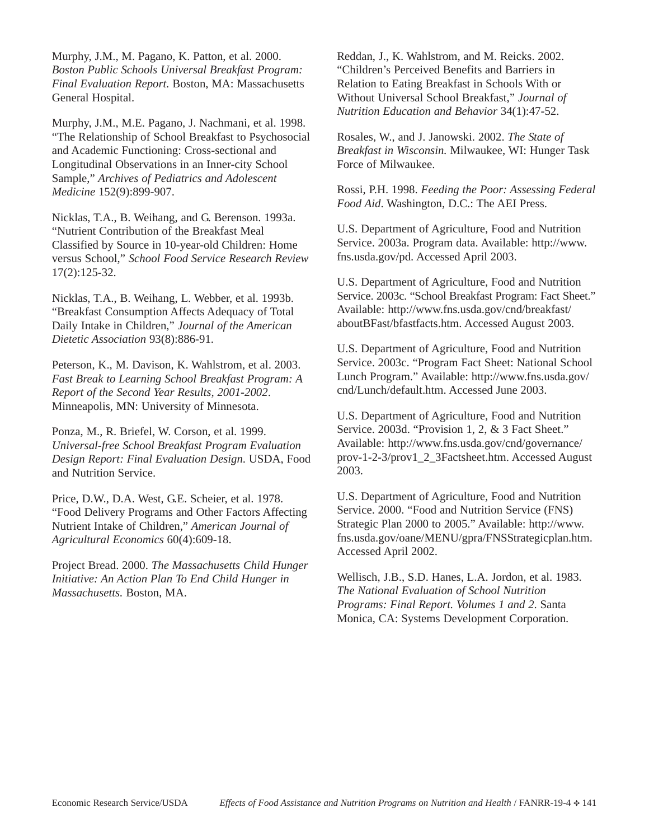Murphy, J.M., M. Pagano, K. Patton, et al. 2000. *Boston Public Schools Universal Breakfast Program: Final Evaluation Report.* Boston, MA: Massachusetts General Hospital.

Murphy, J.M., M.E. Pagano, J. Nachmani, et al. 1998. "The Relationship of School Breakfast to Psychosocial and Academic Functioning: Cross-sectional and Longitudinal Observations in an Inner-city School Sample," *Archives of Pediatrics and Adolescent Medicine* 152(9):899-907.

Nicklas, T.A., B. Weihang, and G. Berenson. 1993a. "Nutrient Contribution of the Breakfast Meal Classified by Source in 10-year-old Children: Home versus School," *School Food Service Research Review* 17(2):125-32.

Nicklas, T.A., B. Weihang, L. Webber, et al. 1993b. "Breakfast Consumption Affects Adequacy of Total Daily Intake in Children," *Journal of the American Dietetic Association* 93(8):886-91.

Peterson, K., M. Davison, K. Wahlstrom, et al. 2003. *Fast Break to Learning School Breakfast Program: A Report of the Second Year Results, 2001-2002*. Minneapolis, MN: University of Minnesota.

Ponza, M., R. Briefel, W. Corson, et al. 1999. *Universal-free School Breakfast Program Evaluation Design Report: Final Evaluation Design*. USDA, Food and Nutrition Service.

Price, D.W., D.A. West, G.E. Scheier, et al. 1978. "Food Delivery Programs and Other Factors Affecting Nutrient Intake of Children," *American Journal of Agricultural Economics* 60(4):609-18.

Project Bread. 2000. *The Massachusetts Child Hunger Initiative: An Action Plan To End Child Hunger in Massachusetts.* Boston, MA.

Reddan, J., K. Wahlstrom, and M. Reicks. 2002. "Children's Perceived Benefits and Barriers in Relation to Eating Breakfast in Schools With or Without Universal School Breakfast," *Journal of Nutrition Education and Behavior* 34(1):47-52.

Rosales, W., and J. Janowski. 2002. *The State of Breakfast in Wisconsin.* Milwaukee, WI: Hunger Task Force of Milwaukee.

Rossi, P.H. 1998. *Feeding the Poor: Assessing Federal Food Aid*. Washington, D.C.: The AEI Press.

U.S. Department of Agriculture, Food and Nutrition Service. 2003a. Program data. Available: http://www. fns.usda.gov/pd. Accessed April 2003.

U.S. Department of Agriculture, Food and Nutrition Service. 2003c. "School Breakfast Program: Fact Sheet." Available: http://www.fns.usda.gov/cnd/breakfast/ aboutBFast/bfastfacts.htm. Accessed August 2003.

U.S. Department of Agriculture, Food and Nutrition Service. 2003c. "Program Fact Sheet: National School Lunch Program." Available: http://www.fns.usda.gov/ cnd/Lunch/default.htm. Accessed June 2003.

U.S. Department of Agriculture, Food and Nutrition Service. 2003d. "Provision 1, 2, & 3 Fact Sheet." Available: http://www.fns.usda.gov/cnd/governance/ prov-1-2-3/prov1\_2\_3Factsheet.htm. Accessed August 2003.

U.S. Department of Agriculture, Food and Nutrition Service. 2000. "Food and Nutrition Service (FNS) Strategic Plan 2000 to 2005." Available: http://www. fns.usda.gov/oane/MENU/gpra/FNSStrategicplan.htm. Accessed April 2002.

Wellisch, J.B., S.D. Hanes, L.A. Jordon, et al. 1983. *The National Evaluation of School Nutrition Programs: Final Report. Volumes 1 and 2*. Santa Monica, CA: Systems Development Corporation.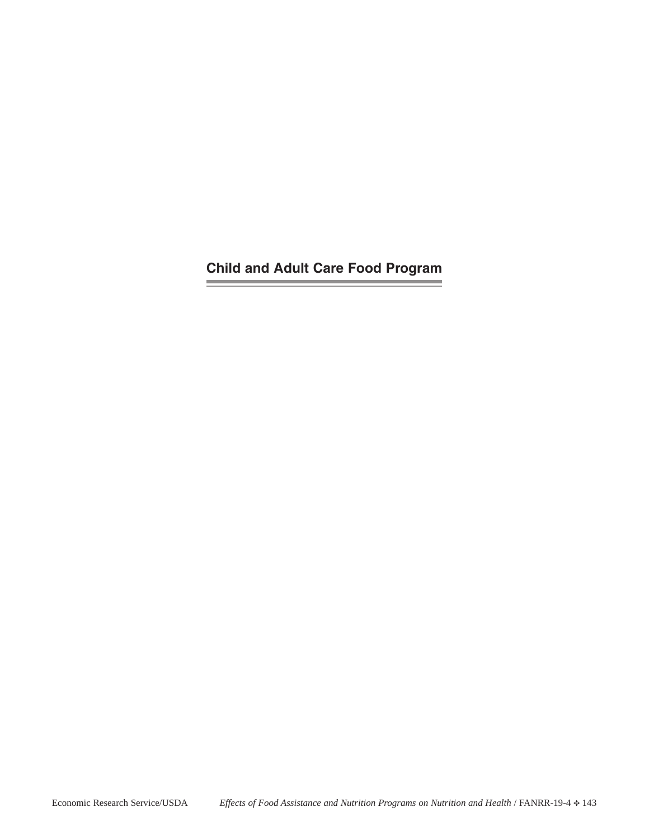**Child and Adult Care Food ProgramContract Contract** 

the control of the control of the control of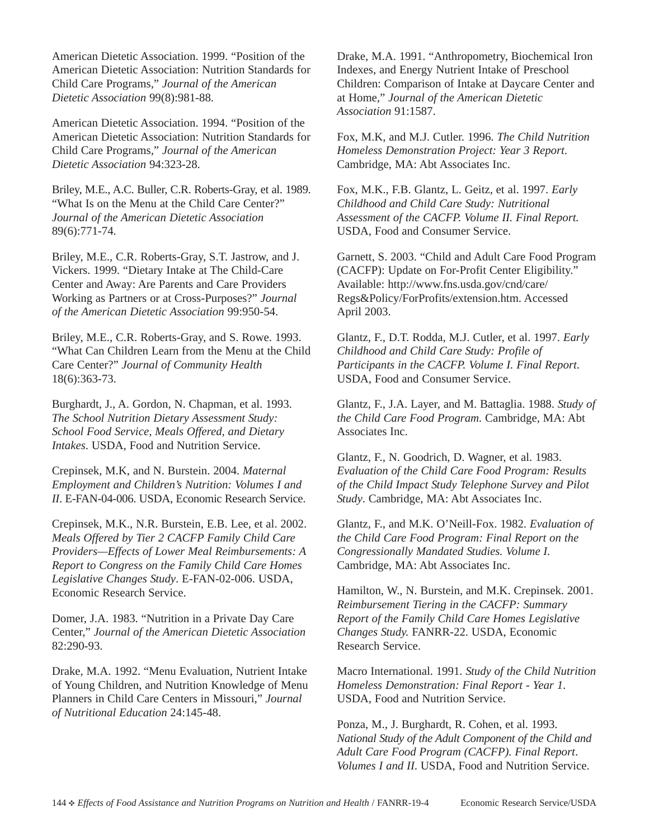American Dietetic Association. 1999. "Position of the American Dietetic Association: Nutrition Standards for Child Care Programs," *Journal of the American Dietetic Association* 99(8):981-88.

American Dietetic Association. 1994. "Position of the American Dietetic Association: Nutrition Standards for Child Care Programs," *Journal of the American Dietetic Association* 94:323-28.

Briley, M.E., A.C. Buller, C.R. Roberts-Gray, et al. 1989. "What Is on the Menu at the Child Care Center?" *Journal of the American Dietetic Association* 89(6):771-74.

Briley, M.E., C.R. Roberts-Gray, S.T. Jastrow, and J. Vickers. 1999. "Dietary Intake at The Child-Care Center and Away: Are Parents and Care Providers Working as Partners or at Cross-Purposes?" *Journal of the American Dietetic Association* 99:950-54.

Briley, M.E., C.R. Roberts-Gray, and S. Rowe. 1993. "What Can Children Learn from the Menu at the Child Care Center?" *Journal of Community Health* 18(6):363-73.

Burghardt, J., A. Gordon, N. Chapman, et al. 1993. *The School Nutrition Dietary Assessment Study: School Food Service, Meals Offered, and Dietary Intakes*. USDA, Food and Nutrition Service.

Crepinsek, M.K, and N. Burstein. 2004. *Maternal Employment and Children's Nutrition: Volumes I and II*. E-FAN-04-006. USDA, Economic Research Service.

Crepinsek, M.K., N.R. Burstein, E.B. Lee, et al. 2002. *Meals Offered by Tier 2 CACFP Family Child Care Providers—Effects of Lower Meal Reimbursements: A Report to Congress on the Family Child Care Homes Legislative Changes Study*. E-FAN-02-006. USDA, Economic Research Service.

Domer, J.A. 1983. "Nutrition in a Private Day Care Center," *Journal of the American Dietetic Association* 82:290-93.

Drake, M.A. 1992. "Menu Evaluation, Nutrient Intake of Young Children, and Nutrition Knowledge of Menu Planners in Child Care Centers in Missouri," *Journal of Nutritional Education* 24:145-48.

Drake, M.A. 1991. "Anthropometry, Biochemical Iron Indexes, and Energy Nutrient Intake of Preschool Children: Comparison of Intake at Daycare Center and at Home," *Journal of the American Dietetic Association* 91:1587.

Fox, M.K, and M.J. Cutler. 1996. *The Child Nutrition Homeless Demonstration Project: Year 3 Report*. Cambridge, MA: Abt Associates Inc.

Fox, M.K., F.B. Glantz, L. Geitz, et al. 1997. *Early Childhood and Child Care Study: Nutritional Assessment of the CACFP. Volume II. Final Report.* USDA, Food and Consumer Service.

Garnett, S. 2003. "Child and Adult Care Food Program (CACFP): Update on For-Profit Center Eligibility." Available: http://www.fns.usda.gov/cnd/care/ Regs&Policy/ForProfits/extension.htm. Accessed April 2003.

Glantz, F., D.T. Rodda, M.J. Cutler, et al. 1997. *Early Childhood and Child Care Study: Profile of Participants in the CACFP. Volume I. Final Report*. USDA, Food and Consumer Service.

Glantz, F., J.A. Layer, and M. Battaglia. 1988. *Study of the Child Care Food Program.* Cambridge, MA: Abt Associates Inc.

Glantz, F., N. Goodrich, D. Wagner, et al. 1983. *Evaluation of the Child Care Food Program: Results of the Child Impact Study Telephone Survey and Pilot Study*. Cambridge, MA: Abt Associates Inc.

Glantz, F., and M.K. O'Neill-Fox. 1982. *Evaluation of the Child Care Food Program: Final Report on the Congressionally Mandated Studies. Volume I.* Cambridge, MA: Abt Associates Inc.

Hamilton, W., N. Burstein, and M.K. Crepinsek. 2001. *Reimbursement Tiering in the CACFP: Summary Report of the Family Child Care Homes Legislative Changes Study.* FANRR-22. USDA, Economic Research Service.

Macro International. 1991. *Study of the Child Nutrition Homeless Demonstration: Final Report - Year 1*. USDA, Food and Nutrition Service.

Ponza, M., J. Burghardt, R. Cohen, et al. 1993. *National Study of the Adult Component of the Child and Adult Care Food Program (CACFP). Final Report*. *Volumes I and II*. USDA, Food and Nutrition Service.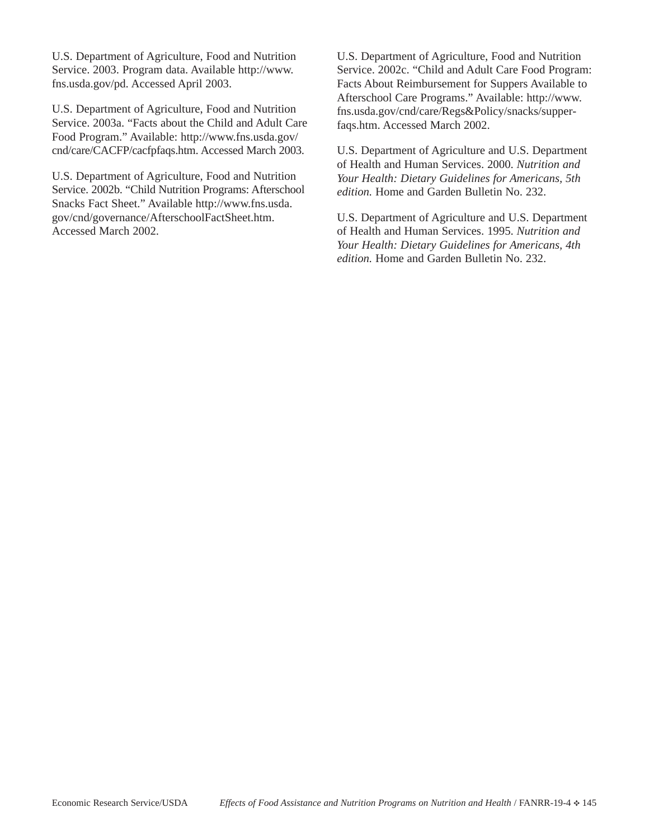U.S. Department of Agriculture, Food and Nutrition Service. 2003. Program data. Available http://www. fns.usda.gov/pd. Accessed April 2003.

U.S. Department of Agriculture, Food and Nutrition Service. 2003a. "Facts about the Child and Adult Care Food Program." Available: http://www.fns.usda.gov/ cnd/care/CACFP/cacfpfaqs.htm. Accessed March 2003.

U.S. Department of Agriculture, Food and Nutrition Service. 2002b. "Child Nutrition Programs: Afterschool Snacks Fact Sheet." Available http://www.fns.usda. gov/cnd/governance/AfterschoolFactSheet.htm. Accessed March 2002.

U.S. Department of Agriculture, Food and Nutrition Service. 2002c. "Child and Adult Care Food Program: Facts About Reimbursement for Suppers Available to Afterschool Care Programs." Available: http://www. fns.usda.gov/cnd/care/Regs&Policy/snacks/supperfaqs.htm. Accessed March 2002.

U.S. Department of Agriculture and U.S. Department of Health and Human Services. 2000. *Nutrition and Your Health: Dietary Guidelines for Americans, 5th edition.* Home and Garden Bulletin No. 232.

U.S. Department of Agriculture and U.S. Department of Health and Human Services. 1995. *Nutrition and Your Health: Dietary Guidelines for Americans, 4th edition.* Home and Garden Bulletin No. 232.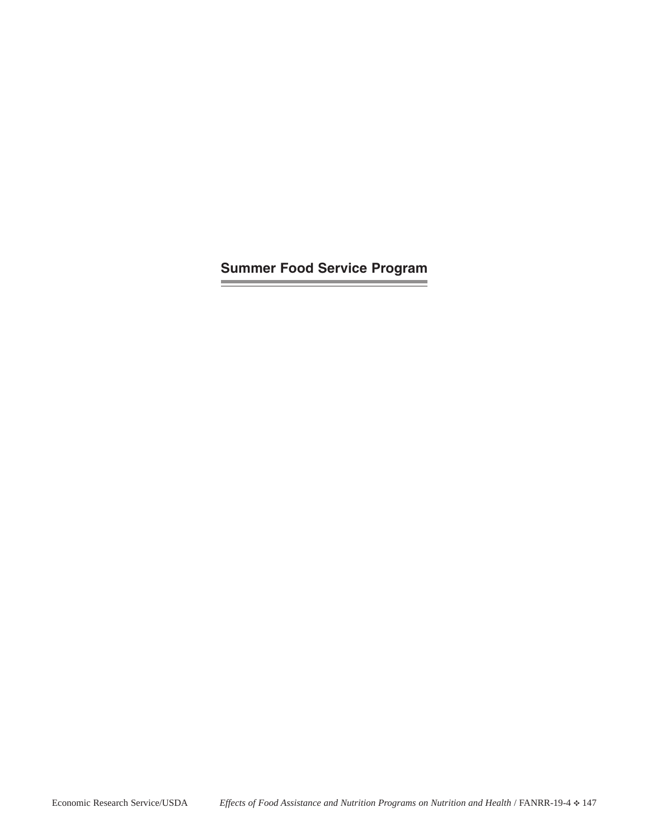**Summer Food Service Program**

**Contract Contract**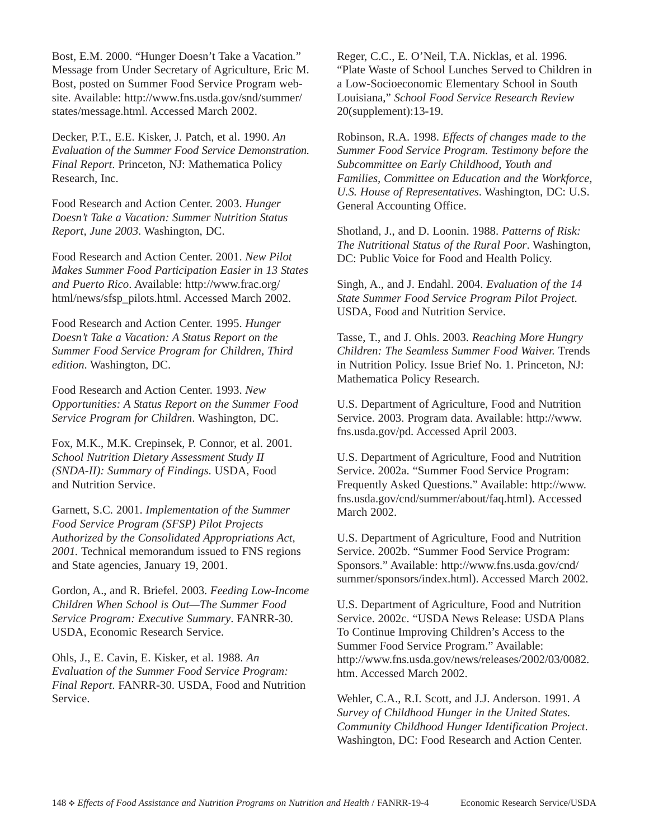Bost, E.M. 2000. "Hunger Doesn't Take a Vacation*.*" Message from Under Secretary of Agriculture, Eric M. Bost, posted on Summer Food Service Program website. Available: http://www.fns.usda.gov/snd/summer/ states/message.html. Accessed March 2002.

Decker, P.T., E.E. Kisker, J. Patch, et al. 1990. *An Evaluation of the Summer Food Service Demonstration. Final Report*. Princeton, NJ: Mathematica Policy Research, Inc.

Food Research and Action Center. 2003. *Hunger Doesn't Take a Vacation: Summer Nutrition Status Report, June 2003*. Washington, DC.

Food Research and Action Center. 2001. *New Pilot Makes Summer Food Participation Easier in 13 States and Puerto Rico*. Available: http://www.frac.org/ html/news/sfsp\_pilots.html. Accessed March 2002.

Food Research and Action Center. 1995. *Hunger Doesn't Take a Vacation: A Status Report on the Summer Food Service Program for Children, Third edition*. Washington, DC.

Food Research and Action Center. 1993. *New Opportunities: A Status Report on the Summer Food Service Program for Children*. Washington, DC.

Fox, M.K., M.K. Crepinsek, P. Connor, et al. 2001. *School Nutrition Dietary Assessment Study II (SNDA-II): Summary of Findings*. USDA, Food and Nutrition Service.

Garnett, S.C. 2001. *Implementation of the Summer Food Service Program (SFSP) Pilot Projects Authorized by the Consolidated Appropriations Act, 2001.* Technical memorandum issued to FNS regions and State agencies, January 19, 2001.

Gordon, A., and R. Briefel. 2003. *Feeding Low-Income Children When School is Out—The Summer Food Service Program: Executive Summary*. FANRR-30. USDA, Economic Research Service.

Ohls, J., E. Cavin, E. Kisker, et al. 1988. *An Evaluation of the Summer Food Service Program: Final Report*. FANRR-30. USDA, Food and Nutrition Service.

Reger, C.C., E. O'Neil, T.A. Nicklas, et al. 1996. "Plate Waste of School Lunches Served to Children in a Low-Socioeconomic Elementary School in South Louisiana," *School Food Service Research Review* 20(supplement):13-19.

Robinson, R.A. 1998. *Effects of changes made to the Summer Food Service Program. Testimony before the Subcommittee on Early Childhood, Youth and Families, Committee on Education and the Workforce, U.S. House of Representatives*. Washington, DC: U.S. General Accounting Office.

Shotland, J., and D. Loonin. 1988. *Patterns of Risk: The Nutritional Status of the Rural Poor*. Washington, DC: Public Voice for Food and Health Policy.

Singh, A., and J. Endahl. 2004. *Evaluation of the 14 State Summer Food Service Program Pilot Project*. USDA, Food and Nutrition Service.

Tasse, T., and J. Ohls. 2003. *Reaching More Hungry Children: The Seamless Summer Food Waiver.* Trends in Nutrition Policy. Issue Brief No. 1. Princeton, NJ: Mathematica Policy Research.

U.S. Department of Agriculture, Food and Nutrition Service. 2003. Program data. Available: http://www. fns.usda.gov/pd. Accessed April 2003.

U.S. Department of Agriculture, Food and Nutrition Service. 2002a. "Summer Food Service Program: Frequently Asked Questions." Available: http://www. fns.usda.gov/cnd/summer/about/faq.html). Accessed March 2002.

U.S. Department of Agriculture, Food and Nutrition Service. 2002b. "Summer Food Service Program: Sponsors." Available: http://www.fns.usda.gov/cnd/ summer/sponsors/index.html). Accessed March 2002.

U.S. Department of Agriculture, Food and Nutrition Service. 2002c. "USDA News Release: USDA Plans To Continue Improving Children's Access to the Summer Food Service Program." Available: http://www.fns.usda.gov/news/releases/2002/03/0082. htm. Accessed March 2002.

Wehler, C.A., R.I. Scott, and J.J. Anderson. 1991. *A Survey of Childhood Hunger in the United States. Community Childhood Hunger Identification Project*. Washington, DC: Food Research and Action Center.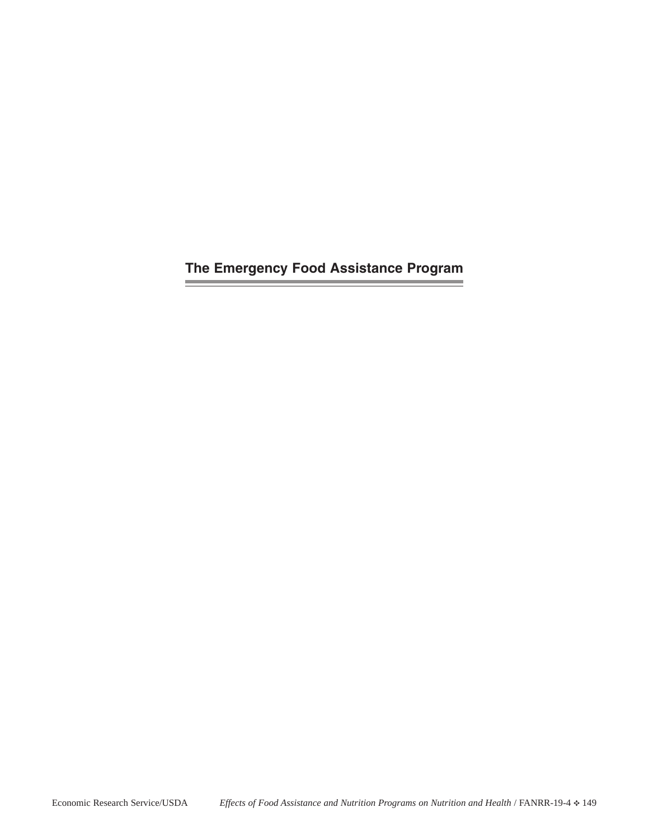**The Emergency Food Assistance Program**

and the control of the control

 $\equiv$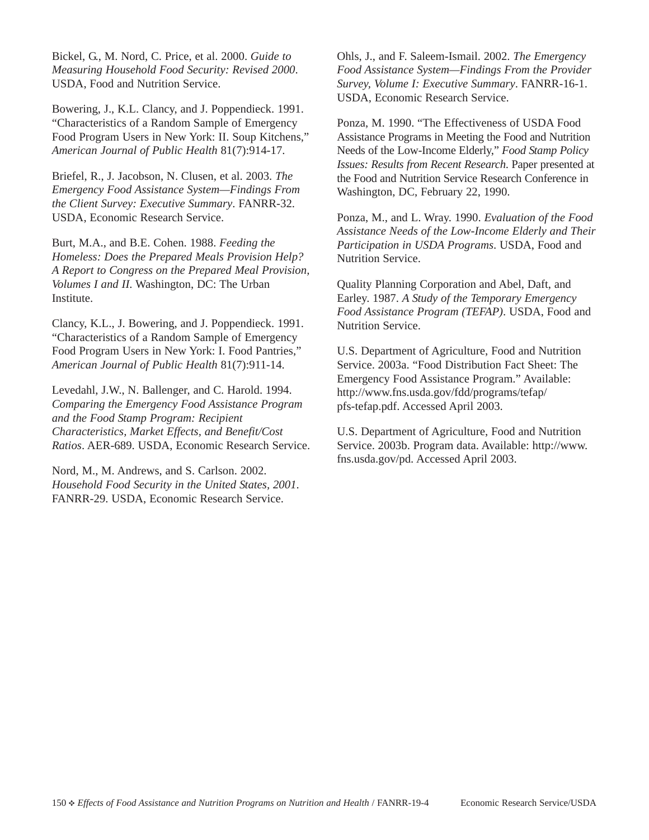Bickel, G., M. Nord, C. Price, et al. 2000. *Guide to Measuring Household Food Security: Revised 2000*. USDA, Food and Nutrition Service.

Bowering, J., K.L. Clancy, and J. Poppendieck. 1991. "Characteristics of a Random Sample of Emergency Food Program Users in New York: II. Soup Kitchens," *American Journal of Public Health* 81(7):914-17.

Briefel, R., J. Jacobson, N. Clusen, et al. 2003. *The Emergency Food Assistance System—Findings From the Client Survey: Executive Summary*. FANRR-32. USDA, Economic Research Service.

Burt, M.A., and B.E. Cohen. 1988. *Feeding the Homeless: Does the Prepared Meals Provision Help? A Report to Congress on the Prepared Meal Provision, Volumes I and II*. Washington, DC: The Urban Institute.

Clancy, K.L., J. Bowering, and J. Poppendieck. 1991. "Characteristics of a Random Sample of Emergency Food Program Users in New York: I. Food Pantries," *American Journal of Public Health* 81(7):911-14.

Levedahl, J.W., N. Ballenger, and C. Harold. 1994. *Comparing the Emergency Food Assistance Program and the Food Stamp Program: Recipient Characteristics, Market Effects, and Benefit/Cost Ratios*. AER-689. USDA, Economic Research Service.

Nord, M., M. Andrews, and S. Carlson. 2002. *Household Food Security in the United States, 2001*. FANRR-29. USDA, Economic Research Service.

Ohls, J., and F. Saleem-Ismail. 2002. *The Emergency Food Assistance System—Findings From the Provider Survey, Volume I: Executive Summary*. FANRR-16-1. USDA, Economic Research Service.

Ponza, M. 1990. "The Effectiveness of USDA Food Assistance Programs in Meeting the Food and Nutrition Needs of the Low-Income Elderly," *Food Stamp Policy Issues: Results from Recent Research*. Paper presented at the Food and Nutrition Service Research Conference in Washington, DC, February 22, 1990.

Ponza, M., and L. Wray. 1990. *Evaluation of the Food Assistance Needs of the Low-Income Elderly and Their Participation in USDA Programs*. USDA, Food and Nutrition Service.

Quality Planning Corporation and Abel, Daft, and Earley. 1987. *A Study of the Temporary Emergency Food Assistance Program (TEFAP)*. USDA, Food and Nutrition Service.

U.S. Department of Agriculture, Food and Nutrition Service. 2003a. "Food Distribution Fact Sheet: The Emergency Food Assistance Program." Available: http://www.fns.usda.gov/fdd/programs/tefap/ pfs-tefap.pdf. Accessed April 2003.

U.S. Department of Agriculture, Food and Nutrition Service. 2003b. Program data. Available: http://www. fns.usda.gov/pd. Accessed April 2003.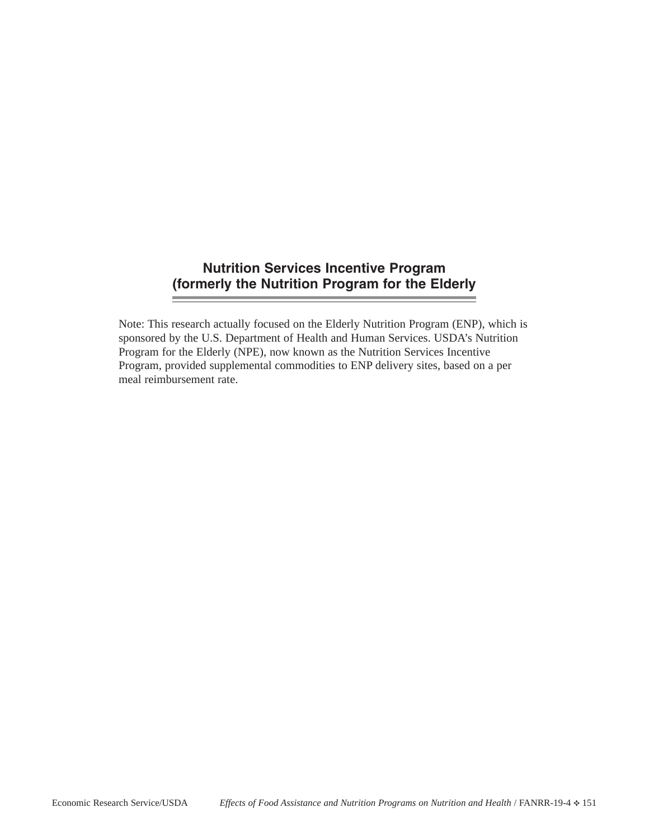## **Nutrition Services Incentive Program (formerly the Nutrition Program for the Elderly**

Note: This research actually focused on the Elderly Nutrition Program (ENP), which is sponsored by the U.S. Department of Health and Human Services. USDA's Nutrition Program for the Elderly (NPE), now known as the Nutrition Services Incentive Program, provided supplemental commodities to ENP delivery sites, based on a per meal reimbursement rate.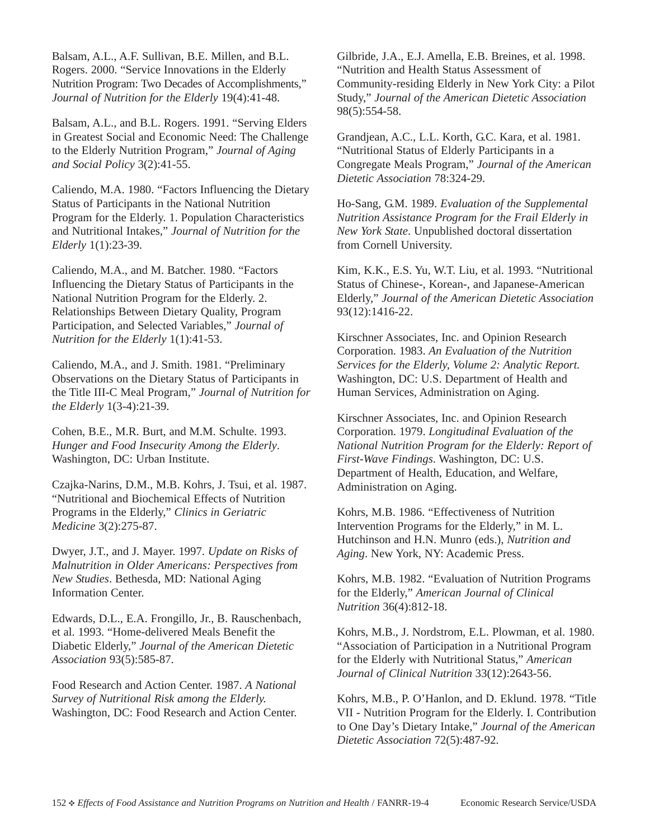Balsam, A.L., A.F. Sullivan, B.E. Millen, and B.L. Rogers. 2000. "Service Innovations in the Elderly Nutrition Program: Two Decades of Accomplishments," *Journal of Nutrition for the Elderly* 19(4):41-48.

Balsam, A.L., and B.L. Rogers. 1991. "Serving Elders in Greatest Social and Economic Need: The Challenge to the Elderly Nutrition Program," *Journal of Aging and Social Policy* 3(2):41-55.

Caliendo, M.A. 1980. "Factors Influencing the Dietary Status of Participants in the National Nutrition Program for the Elderly. 1. Population Characteristics and Nutritional Intakes," *Journal of Nutrition for the Elderly* 1(1):23-39.

Caliendo, M.A., and M. Batcher. 1980. "Factors Influencing the Dietary Status of Participants in the National Nutrition Program for the Elderly. 2. Relationships Between Dietary Quality, Program Participation, and Selected Variables," *Journal of Nutrition for the Elderly* 1(1):41-53.

Caliendo, M.A., and J. Smith. 1981. "Preliminary Observations on the Dietary Status of Participants in the Title III-C Meal Program," *Journal of Nutrition for the Elderly* 1(3-4):21-39.

Cohen, B.E., M.R. Burt, and M.M. Schulte. 1993. *Hunger and Food Insecurity Among the Elderly*. Washington, DC: Urban Institute.

Czajka-Narins, D.M., M.B. Kohrs, J. Tsui, et al. 1987. "Nutritional and Biochemical Effects of Nutrition Programs in the Elderly," *Clinics in Geriatric Medicine* 3(2):275-87.

Dwyer, J.T., and J. Mayer. 1997. *Update on Risks of Malnutrition in Older Americans: Perspectives from New Studies*. Bethesda, MD: National Aging Information Center.

Edwards, D.L., E.A. Frongillo, Jr., B. Rauschenbach, et al. 1993. "Home-delivered Meals Benefit the Diabetic Elderly," *Journal of the American Dietetic Association* 93(5):585-87.

Food Research and Action Center. 1987. *A National Survey of Nutritional Risk among the Elderly.* Washington, DC: Food Research and Action Center.

Gilbride, J.A., E.J. Amella, E.B. Breines, et al. 1998. "Nutrition and Health Status Assessment of Community-residing Elderly in New York City: a Pilot Study," *Journal of the American Dietetic Association* 98(5):554-58.

Grandjean, A.C., L.L. Korth, G.C. Kara, et al. 1981. "Nutritional Status of Elderly Participants in a Congregate Meals Program," *Journal of the American Dietetic Association* 78:324-29.

Ho-Sang, G.M. 1989. *Evaluation of the Supplemental Nutrition Assistance Program for the Frail Elderly in New York State*. Unpublished doctoral dissertation from Cornell University.

Kim, K.K., E.S. Yu, W.T. Liu, et al. 1993. "Nutritional Status of Chinese-, Korean-, and Japanese-American Elderly," *Journal of the American Dietetic Association* 93(12):1416-22.

Kirschner Associates, Inc. and Opinion Research Corporation. 1983. *An Evaluation of the Nutrition Services for the Elderly, Volume 2: Analytic Report.* Washington, DC: U.S. Department of Health and Human Services, Administration on Aging.

Kirschner Associates, Inc. and Opinion Research Corporation. 1979. *Longitudinal Evaluation of the National Nutrition Program for the Elderly: Report of First-Wave Findings*. Washington, DC: U.S. Department of Health, Education, and Welfare, Administration on Aging.

Kohrs, M.B. 1986. "Effectiveness of Nutrition Intervention Programs for the Elderly," in M. L. Hutchinson and H.N. Munro (eds.), *Nutrition and Aging*. New York, NY: Academic Press.

Kohrs, M.B. 1982. "Evaluation of Nutrition Programs for the Elderly," *American Journal of Clinical Nutrition* 36(4):812-18.

Kohrs, M.B., J. Nordstrom, E.L. Plowman, et al. 1980. "Association of Participation in a Nutritional Program for the Elderly with Nutritional Status," *American Journal of Clinical Nutrition* 33(12):2643-56.

Kohrs, M.B., P. O'Hanlon, and D. Eklund. 1978. "Title VII - Nutrition Program for the Elderly. I. Contribution to One Day's Dietary Intake," *Journal of the American Dietetic Association* 72(5):487-92.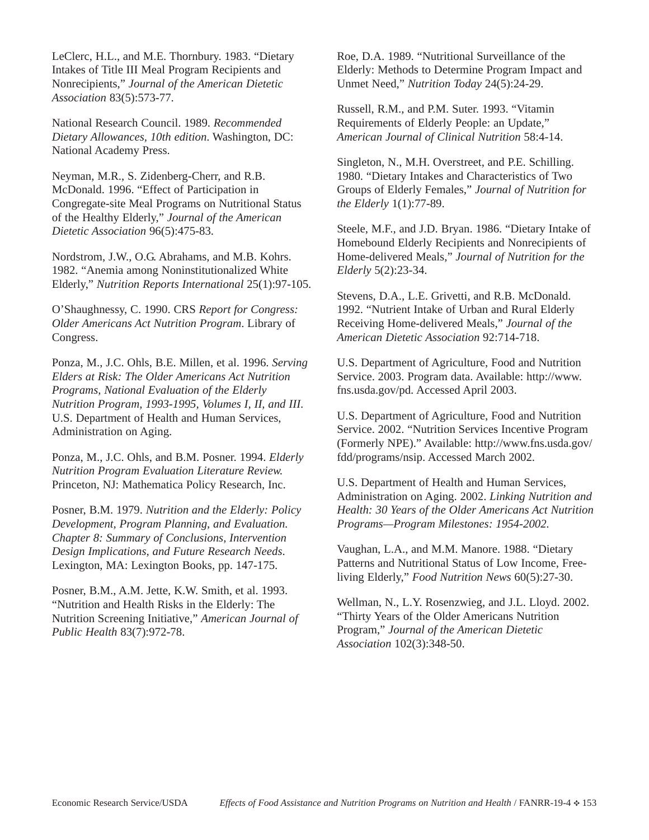LeClerc, H.L., and M.E. Thornbury. 1983. "Dietary Intakes of Title III Meal Program Recipients and Nonrecipients," *Journal of the American Dietetic Association* 83(5):573-77.

National Research Council. 1989. *Recommended Dietary Allowances, 10th edition*. Washington, DC: National Academy Press.

Neyman, M.R., S. Zidenberg-Cherr, and R.B. McDonald. 1996. "Effect of Participation in Congregate-site Meal Programs on Nutritional Status of the Healthy Elderly," *Journal of the American Dietetic Association* 96(5):475-83.

Nordstrom, J.W., O.G. Abrahams, and M.B. Kohrs. 1982. "Anemia among Noninstitutionalized White Elderly," *Nutrition Reports International* 25(1):97-105.

O'Shaughnessy, C. 1990. CRS *Report for Congress: Older Americans Act Nutrition Program*. Library of Congress.

Ponza, M., J.C. Ohls, B.E. Millen, et al. 1996. *Serving Elders at Risk: The Older Americans Act Nutrition Programs, National Evaluation of the Elderly Nutrition Program, 1993-1995, Volumes I, II, and III*. U.S. Department of Health and Human Services, Administration on Aging.

Ponza, M., J.C. Ohls, and B.M. Posner. 1994. *Elderly Nutrition Program Evaluation Literature Review.* Princeton, NJ: Mathematica Policy Research, Inc.

Posner, B.M. 1979. *Nutrition and the Elderly: Policy Development, Program Planning, and Evaluation. Chapter 8: Summary of Conclusions, Intervention Design Implications, and Future Research Needs*. Lexington, MA: Lexington Books, pp. 147-175.

Posner, B.M., A.M. Jette, K.W. Smith, et al. 1993. "Nutrition and Health Risks in the Elderly: The Nutrition Screening Initiative," *American Journal of Public Health* 83(7):972-78.

Roe, D.A. 1989. "Nutritional Surveillance of the Elderly: Methods to Determine Program Impact and Unmet Need," *Nutrition Today* 24(5):24-29.

Russell, R.M., and P.M. Suter. 1993. "Vitamin Requirements of Elderly People: an Update," *American Journal of Clinical Nutrition* 58:4-14.

Singleton, N., M.H. Overstreet, and P.E. Schilling. 1980. "Dietary Intakes and Characteristics of Two Groups of Elderly Females," *Journal of Nutrition for the Elderly* 1(1):77-89.

Steele, M.F., and J.D. Bryan. 1986. "Dietary Intake of Homebound Elderly Recipients and Nonrecipients of Home-delivered Meals," *Journal of Nutrition for the Elderly* 5(2):23-34.

Stevens, D.A., L.E. Grivetti, and R.B. McDonald. 1992. "Nutrient Intake of Urban and Rural Elderly Receiving Home-delivered Meals," *Journal of the American Dietetic Association* 92:714-718.

U.S. Department of Agriculture, Food and Nutrition Service. 2003. Program data. Available: http://www. fns.usda.gov/pd. Accessed April 2003.

U.S. Department of Agriculture, Food and Nutrition Service. 2002. "Nutrition Services Incentive Program (Formerly NPE)." Available: http://www.fns.usda.gov/ fdd/programs/nsip. Accessed March 2002.

U.S. Department of Health and Human Services, Administration on Aging. 2002. *Linking Nutrition and Health: 30 Years of the Older Americans Act Nutrition Programs—Program Milestones: 1954-2002.*

Vaughan, L.A., and M.M. Manore. 1988. "Dietary Patterns and Nutritional Status of Low Income, Freeliving Elderly," *Food Nutrition News* 60(5):27-30.

Wellman, N., L.Y. Rosenzwieg, and J.L. Lloyd. 2002. "Thirty Years of the Older Americans Nutrition Program," *Journal of the American Dietetic Association* 102(3):348-50.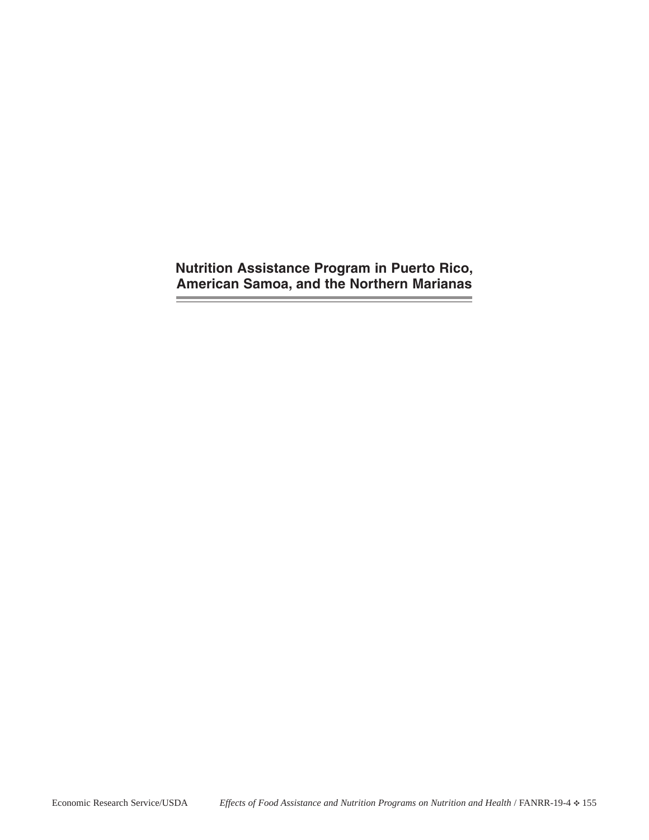**Nutrition Assistance Program in Puerto Rico, American Samoa, and the Northern Marianas**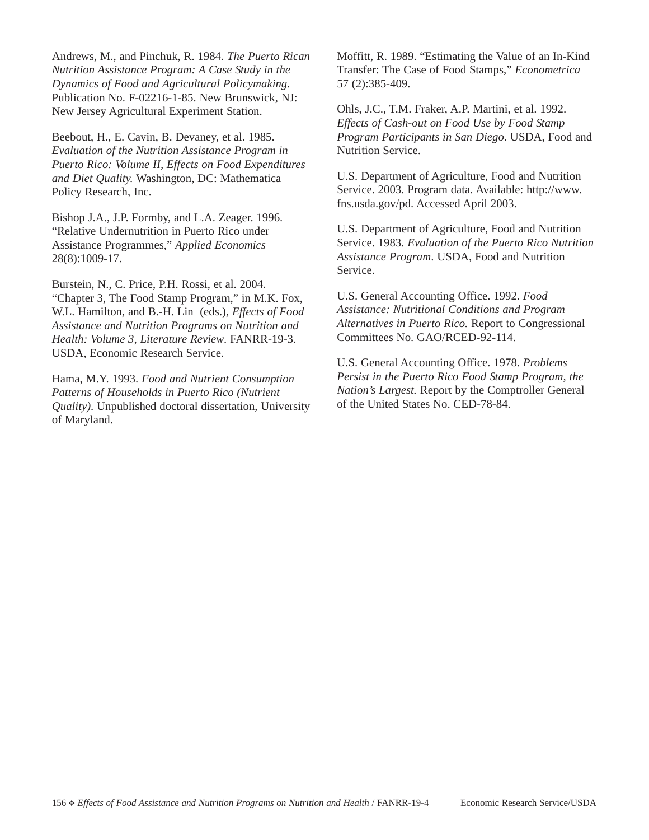Andrews, M., and Pinchuk, R. 1984. *The Puerto Rican Nutrition Assistance Program: A Case Study in the Dynamics of Food and Agricultural Policymaking*. Publication No. F-02216-1-85. New Brunswick, NJ: New Jersey Agricultural Experiment Station.

Beebout, H., E. Cavin, B. Devaney, et al. 1985. *Evaluation of the Nutrition Assistance Program in Puerto Rico: Volume II, Effects on Food Expenditures and Diet Quality.* Washington, DC: Mathematica Policy Research, Inc.

Bishop J.A., J.P. Formby, and L.A. Zeager. 1996. "Relative Undernutrition in Puerto Rico under Assistance Programmes," *Applied Economics* 28(8):1009-17.

Burstein, N., C. Price, P.H. Rossi, et al. 2004. "Chapter 3, The Food Stamp Program," in M.K. Fox, W.L. Hamilton, and B.-H. Lin (eds.), *Effects of Food Assistance and Nutrition Programs on Nutrition and Health: Volume 3, Literature Review*. FANRR-19-3. USDA, Economic Research Service.

Hama, M.Y. 1993. *Food and Nutrient Consumption Patterns of Households in Puerto Rico (Nutrient Quality)*. Unpublished doctoral dissertation, University of Maryland.

Moffitt, R. 1989. "Estimating the Value of an In-Kind Transfer: The Case of Food Stamps," *Econometrica* 57 (2):385-409.

Ohls, J.C., T.M. Fraker, A.P. Martini, et al. 1992. *Effects of Cash-out on Food Use by Food Stamp Program Participants in San Diego*. USDA, Food and Nutrition Service.

U.S. Department of Agriculture, Food and Nutrition Service. 2003. Program data. Available: http://www. fns.usda.gov/pd. Accessed April 2003.

U.S. Department of Agriculture, Food and Nutrition Service. 1983. *Evaluation of the Puerto Rico Nutrition Assistance Program*. USDA, Food and Nutrition Service.

U.S. General Accounting Office. 1992. *Food Assistance: Nutritional Conditions and Program Alternatives in Puerto Rico.* Report to Congressional Committees No. GAO/RCED-92-114.

U.S. General Accounting Office. 1978. *Problems Persist in the Puerto Rico Food Stamp Program, the Nation's Largest.* Report by the Comptroller General of the United States No. CED-78-84.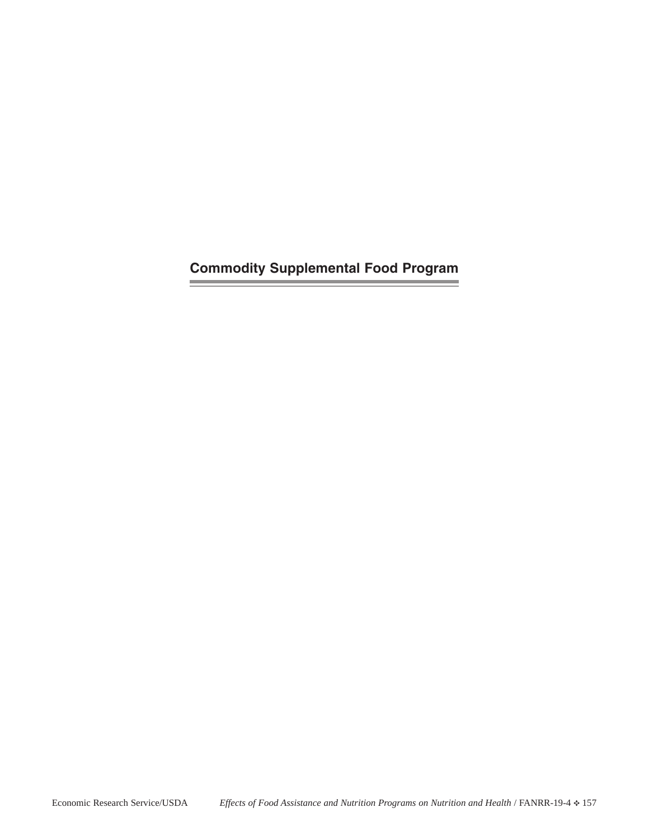**Commodity Supplemental Food Program**

**Contract Contract** 

 $\overline{\phantom{a}}$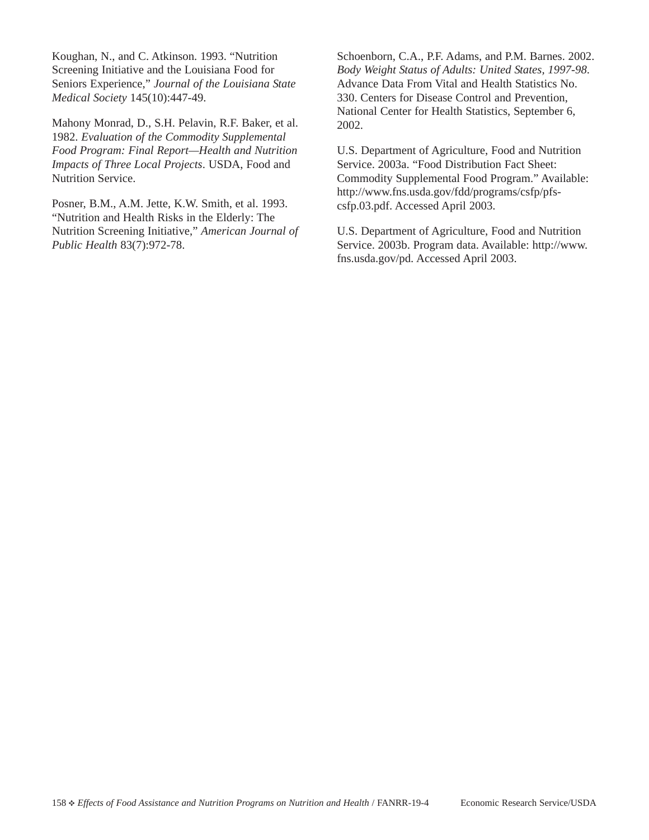Koughan, N., and C. Atkinson. 1993. "Nutrition Screening Initiative and the Louisiana Food for Seniors Experience," *Journal of the Louisiana State Medical Society* 145(10):447-49.

Mahony Monrad, D., S.H. Pelavin, R.F. Baker, et al. 1982. *Evaluation of the Commodity Supplemental Food Program: Final Report—Health and Nutrition Impacts of Three Local Projects*. USDA, Food and Nutrition Service.

Posner, B.M., A.M. Jette, K.W. Smith, et al. 1993. "Nutrition and Health Risks in the Elderly: The Nutrition Screening Initiative," *American Journal of Public Health* 83(7):972-78.

Schoenborn, C.A., P.F. Adams, and P.M. Barnes. 2002. *Body Weight Status of Adults: United States, 1997-98*. Advance Data From Vital and Health Statistics No. 330. Centers for Disease Control and Prevention, National Center for Health Statistics, September 6, 2002.

U.S. Department of Agriculture, Food and Nutrition Service. 2003a. "Food Distribution Fact Sheet: Commodity Supplemental Food Program." Available: http://www.fns.usda.gov/fdd/programs/csfp/pfscsfp.03.pdf. Accessed April 2003.

U.S. Department of Agriculture, Food and Nutrition Service. 2003b. Program data. Available: http://www. fns.usda.gov/pd. Accessed April 2003.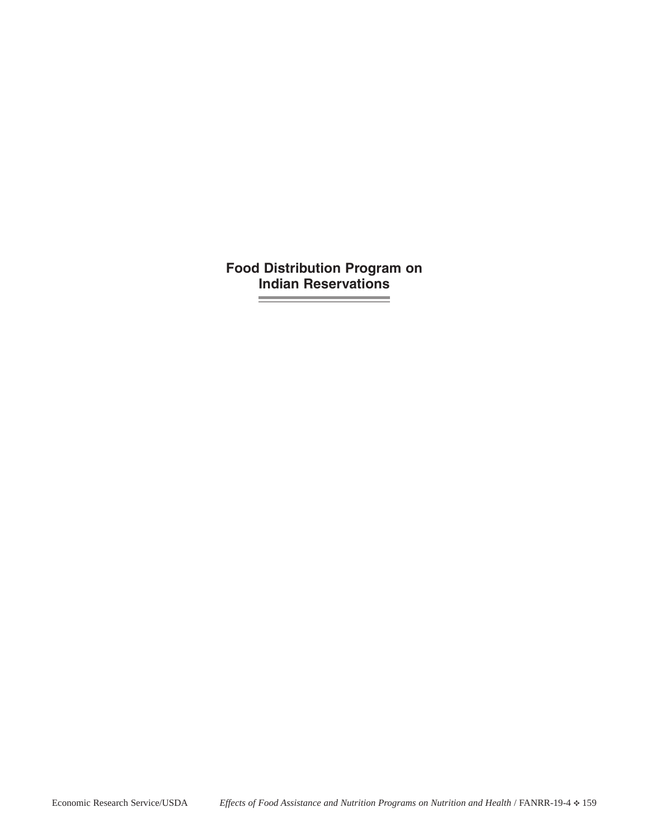**Food Distribution Program on Indian ReservationsContract Contract**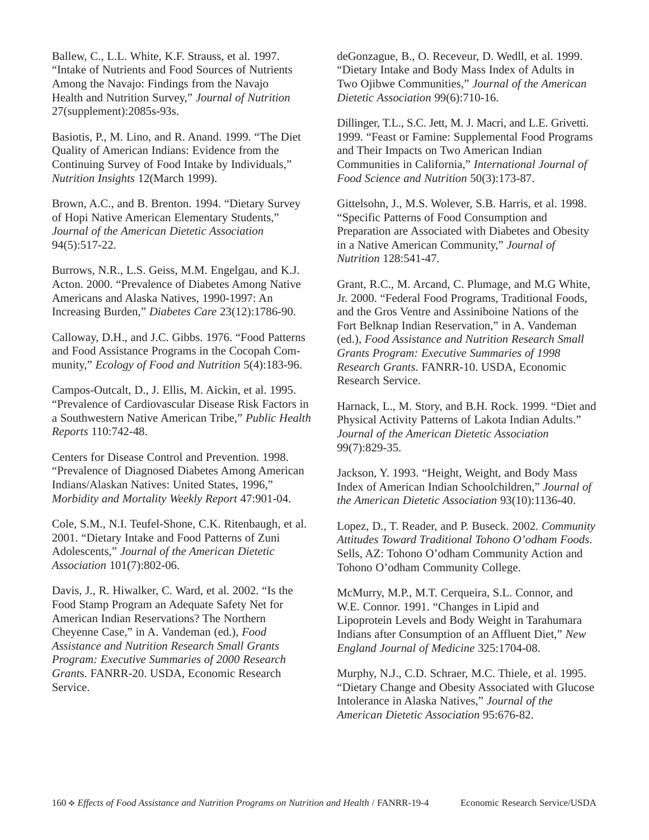Ballew, C., L.L. White, K.F. Strauss, et al. 1997. "Intake of Nutrients and Food Sources of Nutrients Among the Navajo: Findings from the Navajo Health and Nutrition Survey," *Journal of Nutrition* 27(supplement):2085s-93s.

Basiotis, P., M. Lino, and R. Anand. 1999. "The Diet Quality of American Indians: Evidence from the Continuing Survey of Food Intake by Individuals," *Nutrition Insights* 12(March 1999).

Brown, A.C., and B. Brenton. 1994. "Dietary Survey of Hopi Native American Elementary Students," *Journal of the American Dietetic Association* 94(5):517-22.

Burrows, N.R., L.S. Geiss, M.M. Engelgau, and K.J. Acton. 2000. "Prevalence of Diabetes Among Native Americans and Alaska Natives, 1990-1997: An Increasing Burden," *Diabetes Care* 23(12):1786-90.

Calloway, D.H., and J.C. Gibbs. 1976. "Food Patterns and Food Assistance Programs in the Cocopah Community," *Ecology of Food and Nutrition* 5(4):183-96.

Campos-Outcalt, D., J. Ellis, M. Aickin, et al. 1995. "Prevalence of Cardiovascular Disease Risk Factors in a Southwestern Native American Tribe," *Public Health Reports* 110:742-48.

Centers for Disease Control and Prevention. 1998. "Prevalence of Diagnosed Diabetes Among American Indians/Alaskan Natives: United States, 1996," *Morbidity and Mortality Weekly Report* 47:901-04.

Cole, S.M., N.I. Teufel-Shone, C.K. Ritenbaugh, et al. 2001. "Dietary Intake and Food Patterns of Zuni Adolescents," *Journal of the American Dietetic Association* 101(7):802-06.

Davis, J., R. Hiwalker, C. Ward, et al. 2002. "Is the Food Stamp Program an Adequate Safety Net for American Indian Reservations? The Northern Cheyenne Case," in A. Vandeman (ed.), *Food Assistance and Nutrition Research Small Grants Program: Executive Summaries of 2000 Research Grant*s. FANRR-20. USDA, Economic Research Service.

deGonzague, B., O. Receveur, D. Wedll, et al. 1999. "Dietary Intake and Body Mass Index of Adults in Two Ojibwe Communities," *Journal of the American Dietetic Association* 99(6):710-16.

Dillinger, T.L., S.C. Jett, M. J. Macri, and L.E. Grivetti. 1999. "Feast or Famine: Supplemental Food Programs and Their Impacts on Two American Indian Communities in California," *International Journal of Food Science and Nutrition* 50(3):173-87.

Gittelsohn, J., M.S. Wolever, S.B. Harris, et al. 1998. "Specific Patterns of Food Consumption and Preparation are Associated with Diabetes and Obesity in a Native American Community," *Journal of Nutrition* 128:541-47.

Grant, R.C., M. Arcand, C. Plumage, and M.G White, Jr. 2000. "Federal Food Programs, Traditional Foods, and the Gros Ventre and Assiniboine Nations of the Fort Belknap Indian Reservation," in A. Vandeman (ed.), *Food Assistance and Nutrition Research Small Grants Program: Executive Summaries of 1998 Research Grants*. FANRR-10. USDA, Economic Research Service.

Harnack, L., M. Story, and B.H. Rock. 1999. "Diet and Physical Activity Patterns of Lakota Indian Adults." *Journal of the American Dietetic Association* 99(7):829-35.

Jackson, Y. 1993. "Height, Weight, and Body Mass Index of American Indian Schoolchildren," *Journal of the American Dietetic Association* 93(10):1136-40.

Lopez, D., T. Reader, and P. Buseck. 2002. *Community Attitudes Toward Traditional Tohono O'odham Foods*. Sells, AZ: Tohono O'odham Community Action and Tohono O'odham Community College.

McMurry, M.P., M.T. Cerqueira, S.L. Connor, and W.E. Connor. 1991. "Changes in Lipid and Lipoprotein Levels and Body Weight in Tarahumara Indians after Consumption of an Affluent Diet," *New England Journal of Medicine* 325:1704-08.

Murphy, N.J., C.D. Schraer, M.C. Thiele, et al. 1995. "Dietary Change and Obesity Associated with Glucose Intolerance in Alaska Natives," *Journal of the American Dietetic Association* 95:676-82.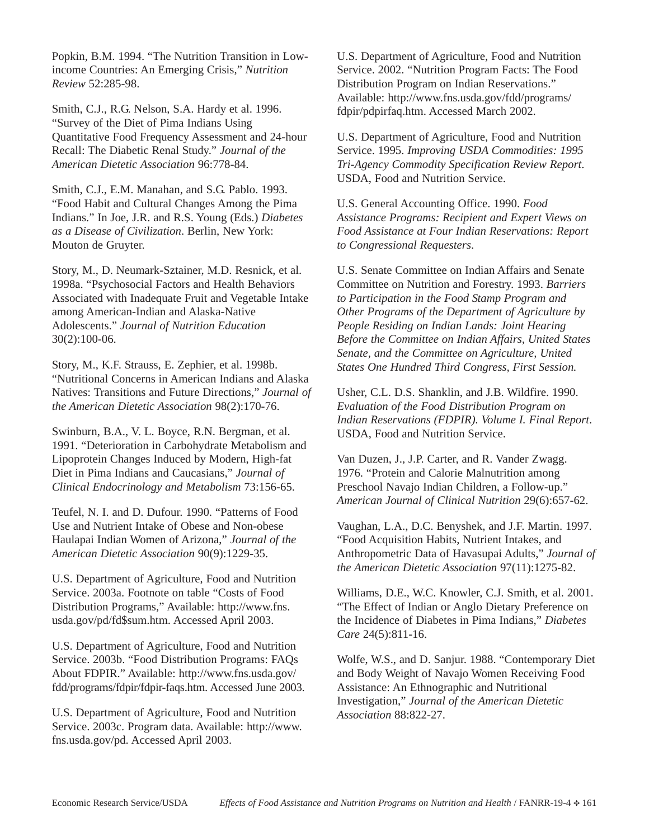Popkin, B.M. 1994. "The Nutrition Transition in Lowincome Countries: An Emerging Crisis," *Nutrition Review* 52:285-98.

Smith, C.J., R.G. Nelson, S.A. Hardy et al. 1996. "Survey of the Diet of Pima Indians Using Quantitative Food Frequency Assessment and 24-hour Recall: The Diabetic Renal Study." *Journal of the American Dietetic Association* 96:778-84.

Smith, C.J., E.M. Manahan, and S.G. Pablo. 1993. "Food Habit and Cultural Changes Among the Pima Indians." In Joe, J.R. and R.S. Young (Eds.) *Diabetes as a Disease of Civilization*. Berlin, New York: Mouton de Gruyter.

Story, M., D. Neumark-Sztainer, M.D. Resnick, et al. 1998a. "Psychosocial Factors and Health Behaviors Associated with Inadequate Fruit and Vegetable Intake among American-Indian and Alaska-Native Adolescents." *Journal of Nutrition Education* 30(2):100-06.

Story, M., K.F. Strauss, E. Zephier, et al. 1998b. "Nutritional Concerns in American Indians and Alaska Natives: Transitions and Future Directions," *Journal of the American Dietetic Association* 98(2):170-76.

Swinburn, B.A., V. L. Boyce, R.N. Bergman, et al. 1991. "Deterioration in Carbohydrate Metabolism and Lipoprotein Changes Induced by Modern, High-fat Diet in Pima Indians and Caucasians," *Journal of Clinical Endocrinology and Metabolism* 73:156-65.

Teufel, N. I. and D. Dufour. 1990. "Patterns of Food Use and Nutrient Intake of Obese and Non-obese Haulapai Indian Women of Arizona," *Journal of the American Dietetic Association* 90(9):1229-35.

U.S. Department of Agriculture, Food and Nutrition Service. 2003a. Footnote on table "Costs of Food Distribution Programs," Available: http://www.fns. usda.gov/pd/fd\$sum.htm. Accessed April 2003.

U.S. Department of Agriculture, Food and Nutrition Service. 2003b. "Food Distribution Programs: FAQs About FDPIR." Available: http://www.fns.usda.gov/ fdd/programs/fdpir/fdpir-faqs.htm. Accessed June 2003.

U.S. Department of Agriculture, Food and Nutrition Service. 2003c. Program data. Available: http://www. fns.usda.gov/pd. Accessed April 2003.

U.S. Department of Agriculture, Food and Nutrition Service. 2002. "Nutrition Program Facts: The Food Distribution Program on Indian Reservations." Available: http://www.fns.usda.gov/fdd/programs/ fdpir/pdpirfaq.htm. Accessed March 2002.

U.S. Department of Agriculture, Food and Nutrition Service. 1995. *Improving USDA Commodities: 1995 Tri-Agency Commodity Specification Review Report*. USDA, Food and Nutrition Service.

U.S. General Accounting Office. 1990. *Food Assistance Programs: Recipient and Expert Views on Food Assistance at Four Indian Reservations: Report to Congressional Requesters*.

U.S. Senate Committee on Indian Affairs and Senate Committee on Nutrition and Forestry. 1993. *Barriers to Participation in the Food Stamp Program and Other Programs of the Department of Agriculture by People Residing on Indian Lands: Joint Hearing Before the Committee on Indian Affairs, United States Senate, and the Committee on Agriculture, United States One Hundred Third Congress, First Session.*

Usher, C.L. D.S. Shanklin, and J.B. Wildfire. 1990. *Evaluation of the Food Distribution Program on Indian Reservations (FDPIR). Volume I. Final Report*. USDA, Food and Nutrition Service.

Van Duzen, J., J.P. Carter, and R. Vander Zwagg. 1976. "Protein and Calorie Malnutrition among Preschool Navajo Indian Children, a Follow-up." *American Journal of Clinical Nutrition* 29(6):657-62.

Vaughan, L.A., D.C. Benyshek, and J.F. Martin. 1997. "Food Acquisition Habits, Nutrient Intakes, and Anthropometric Data of Havasupai Adults," *Journal of the American Dietetic Association* 97(11):1275-82.

Williams, D.E., W.C. Knowler, C.J. Smith, et al. 2001. "The Effect of Indian or Anglo Dietary Preference on the Incidence of Diabetes in Pima Indians," *Diabetes Care* 24(5):811-16.

Wolfe, W.S., and D. Sanjur. 1988. "Contemporary Diet and Body Weight of Navajo Women Receiving Food Assistance: An Ethnographic and Nutritional Investigation," *Journal of the American Dietetic Association* 88:822-27.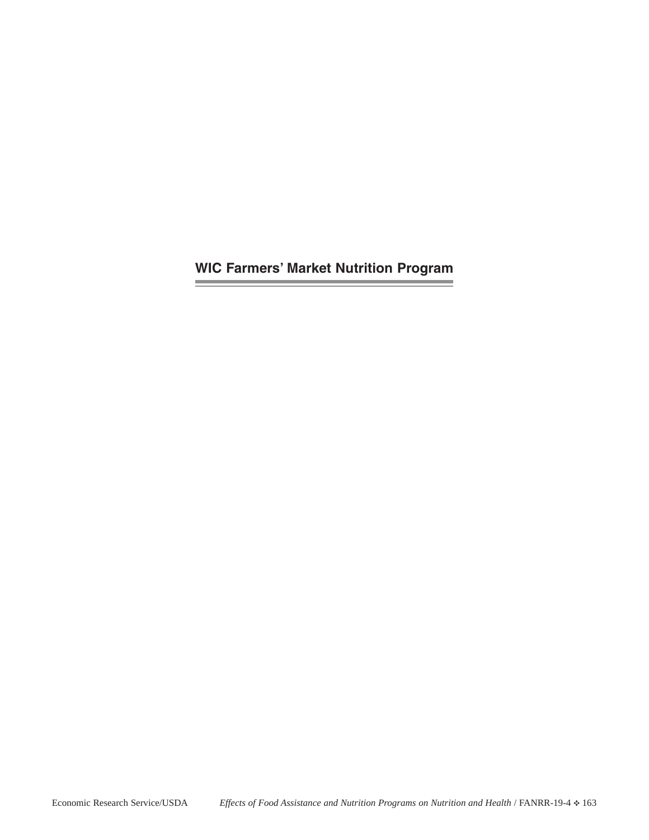**WIC Farmers' Market Nutrition Program**

the control of the control of the control of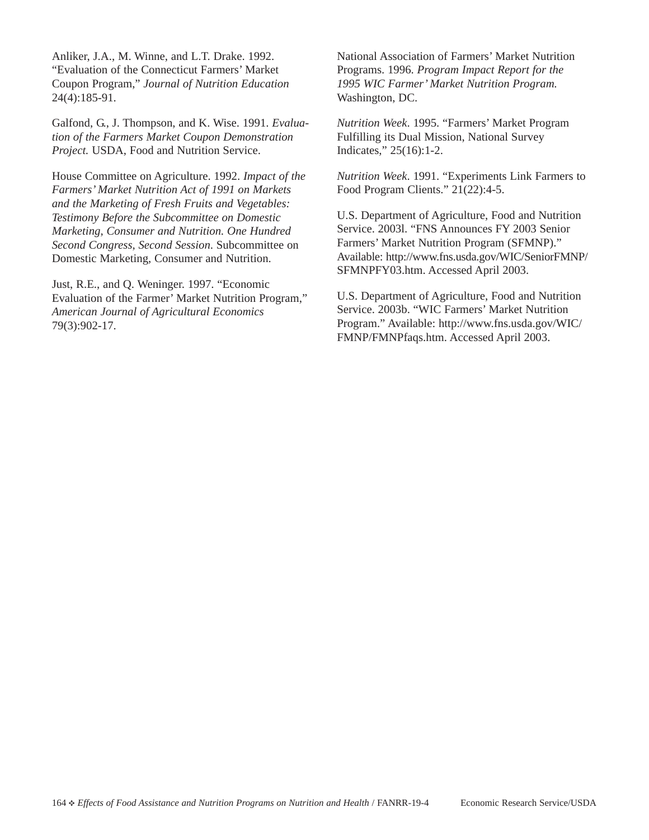Anliker, J.A., M. Winne, and L.T. Drake. 1992. "Evaluation of the Connecticut Farmers' Market Coupon Program," *Journal of Nutrition Education* 24(4):185-91.

Galfond, G., J. Thompson, and K. Wise. 1991. *Evaluation of the Farmers Market Coupon Demonstration Project.* USDA, Food and Nutrition Service.

House Committee on Agriculture. 1992. *Impact of the Farmers' Market Nutrition Act of 1991 on Markets and the Marketing of Fresh Fruits and Vegetables: Testimony Before the Subcommittee on Domestic Marketing, Consumer and Nutrition. One Hundred Second Congress, Second Session*. Subcommittee on Domestic Marketing, Consumer and Nutrition.

Just, R.E., and Q. Weninger. 1997. "Economic Evaluation of the Farmer' Market Nutrition Program," *American Journal of Agricultural Economics* 79(3):902-17.

National Association of Farmers' Market Nutrition Programs. 1996. *Program Impact Report for the 1995 WIC Farmer' Market Nutrition Program.* Washington, DC.

*Nutrition Week*. 1995. "Farmers' Market Program Fulfilling its Dual Mission, National Survey Indicates," 25(16):1-2.

*Nutrition Week*. 1991. "Experiments Link Farmers to Food Program Clients." 21(22):4-5.

U.S. Department of Agriculture, Food and Nutrition Service. 2003l. "FNS Announces FY 2003 Senior Farmers' Market Nutrition Program (SFMNP)." Available: http://www.fns.usda.gov/WIC/SeniorFMNP/ SFMNPFY03.htm. Accessed April 2003.

U.S. Department of Agriculture, Food and Nutrition Service. 2003b. "WIC Farmers' Market Nutrition Program." Available: http://www.fns.usda.gov/WIC/ FMNP/FMNPfaqs.htm. Accessed April 2003.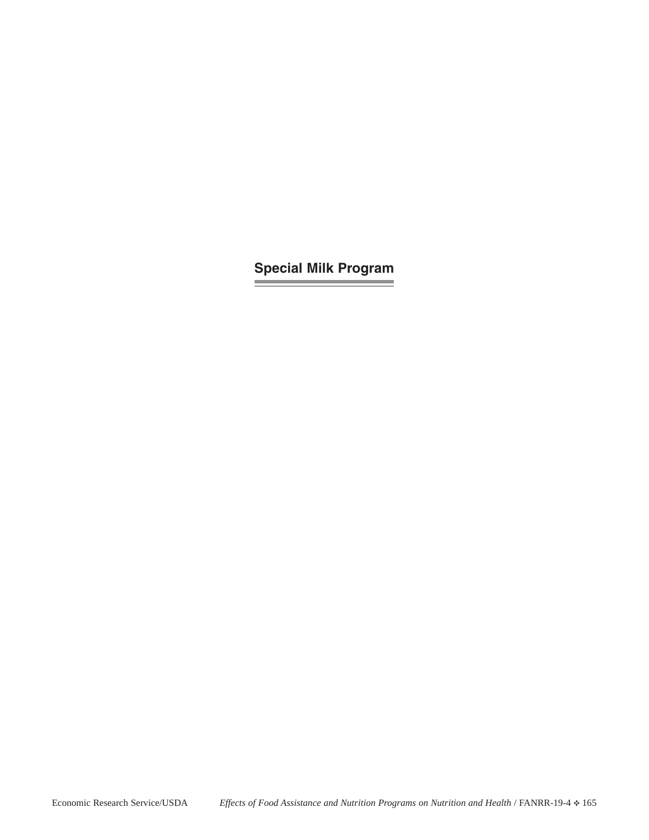## **Special Milk Program**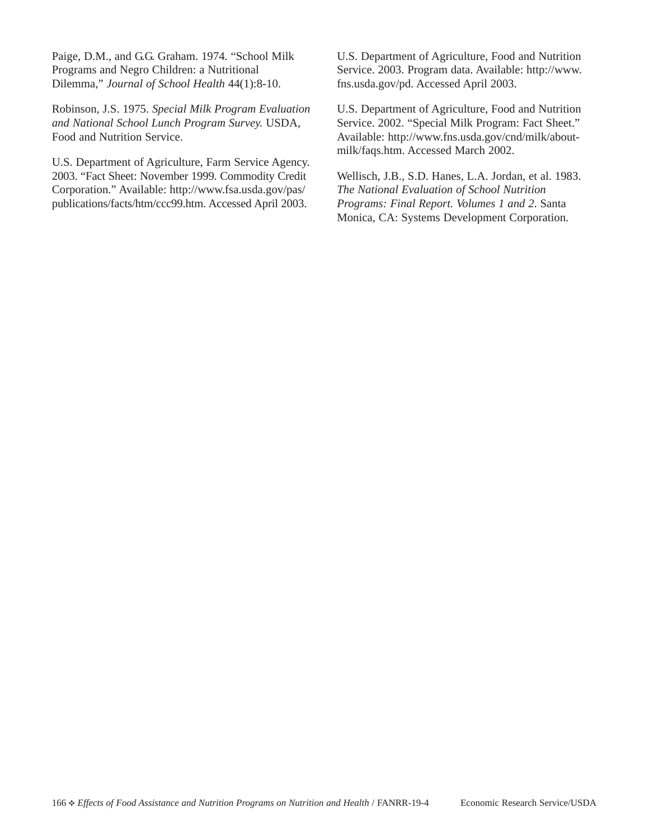Paige, D.M., and G.G. Graham. 1974. "School Milk Programs and Negro Children: a Nutritional Dilemma," *Journal of School Health* 44(1):8-10.

Robinson, J.S. 1975. *Special Milk Program Evaluation and National School Lunch Program Survey.* USDA, Food and Nutrition Service.

U.S. Department of Agriculture, Farm Service Agency. 2003. "Fact Sheet: November 1999. Commodity Credit Corporation." Available: http://www.fsa.usda.gov/pas/ publications/facts/htm/ccc99.htm. Accessed April 2003.

U.S. Department of Agriculture, Food and Nutrition Service. 2003. Program data. Available: http://www. fns.usda.gov/pd. Accessed April 2003.

U.S. Department of Agriculture, Food and Nutrition Service. 2002. "Special Milk Program: Fact Sheet." Available: http://www.fns.usda.gov/cnd/milk/aboutmilk/faqs.htm. Accessed March 2002.

Wellisch, J.B., S.D. Hanes, L.A. Jordan, et al. 1983. *The National Evaluation of School Nutrition Programs: Final Report. Volumes 1 and 2*. Santa Monica, CA: Systems Development Corporation.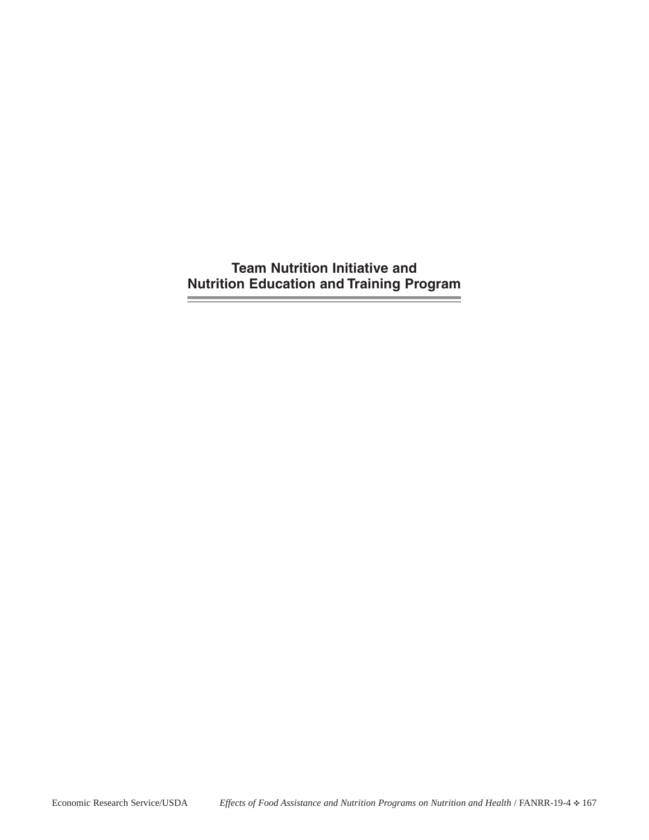**Team Nutrition Initiative and Nutrition Education and Training Program**

**Signal**